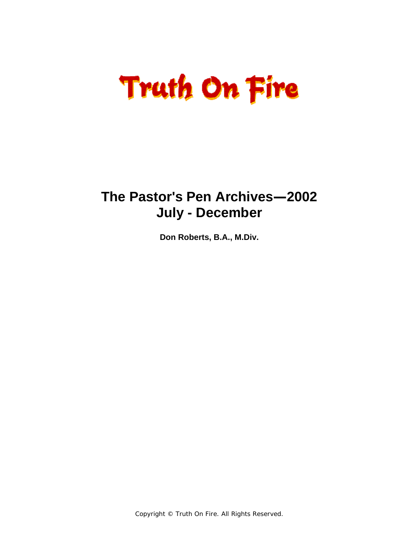# **Truth On Fire**

### **The Pastor's Pen Archives—2002 July - December**

**Don Roberts, B.A., M.Div.** 

Copyright © Truth On Fire. All Rights Reserved.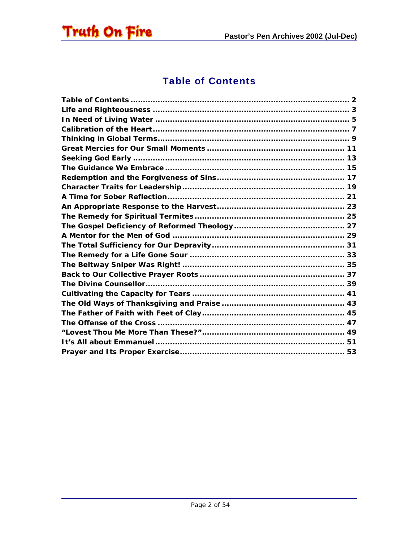<span id="page-1-0"></span>

### Table of Contents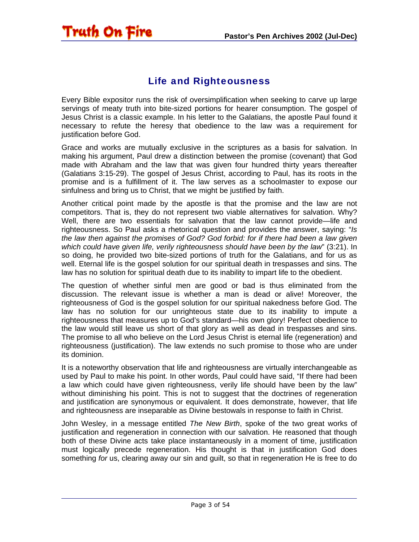### Life and Righteousness

<span id="page-2-0"></span>Truth On Fire

Every Bible expositor runs the risk of oversimplification when seeking to carve up large servings of meaty truth into bite-sized portions for hearer consumption. The gospel of Jesus Christ is a classic example. In his letter to the Galatians, the apostle Paul found it necessary to refute the heresy that obedience to the law was a requirement for justification before God.

Grace and works are mutually exclusive in the scriptures as a basis for salvation. In making his argument, Paul drew a distinction between the promise (covenant) that God made with Abraham and the law that was given four hundred thirty years thereafter (Galatians 3:15-29). The gospel of Jesus Christ, according to Paul, has its roots in the promise and is a fulfillment of it. The law serves as a schoolmaster to expose our sinfulness and bring us to Christ, that we might be justified by faith.

Another critical point made by the apostle is that the promise and the law are not competitors. That is, they do not represent two viable alternatives for salvation. Why? Well, there are two essentials for salvation that the law cannot provide—life and righteousness. So Paul asks a rhetorical question and provides the answer, saying: "*Is the law then against the promises of God? God forbid: for if there had been a law given which could have given life, verily righteousness should have been by the law*" (3:21). In so doing, he provided two bite-sized portions of truth for the Galatians, and for us as well. Eternal life is the gospel solution for our spiritual death in trespasses and sins. The law has no solution for spiritual death due to its inability to impart life to the obedient.

The question of whether sinful men are good or bad is thus eliminated from the discussion. The relevant issue is whether a man is dead or alive! Moreover, the righteousness of God is the gospel solution for our spiritual nakedness before God. The law has no solution for our unrighteous state due to its inability to impute a righteousness that measures up to God's standard—his own glory! Perfect obedience to the law would still leave us short of that glory as well as dead in trespasses and sins. The promise to all who believe on the Lord Jesus Christ is eternal life (regeneration) and righteousness (justification). The law extends no such promise to those who are under its dominion.

It is a noteworthy observation that life and righteousness are virtually interchangeable as used by Paul to make his point. In other words, Paul could have said, "If there had been a law which could have given righteousness, verily life should have been by the law" without diminishing his point. This is not to suggest that the doctrines of regeneration and justification are synonymous or equivalent. It does demonstrate, however, that life and righteousness are inseparable as Divine bestowals in response to faith in Christ.

John Wesley, in a message entitled *The New Birth*, spoke of the two great works of justification and regeneration in connection with our salvation. He reasoned that though both of these Divine acts take place instantaneously in a moment of time, justification must logically precede regeneration. His thought is that in justification God does something *for* us, clearing away our sin and guilt, so that in regeneration He is free to do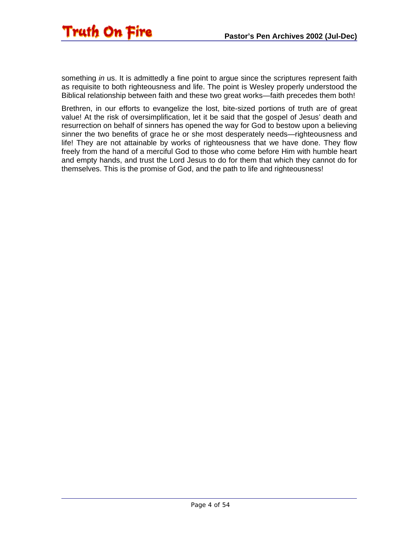

something *in* us. It is admittedly a fine point to argue since the scriptures represent faith as requisite to both righteousness and life. The point is Wesley properly understood the Biblical relationship between faith and these two great works—faith precedes them both!

Brethren, in our efforts to evangelize the lost, bite-sized portions of truth are of great value! At the risk of oversimplification, let it be said that the gospel of Jesus' death and resurrection on behalf of sinners has opened the way for God to bestow upon a believing sinner the two benefits of grace he or she most desperately needs—righteousness and life! They are not attainable by works of righteousness that we have done. They flow freely from the hand of a merciful God to those who come before Him with humble heart and empty hands, and trust the Lord Jesus to do for them that which they cannot do for themselves. This is the promise of God, and the path to life and righteousness!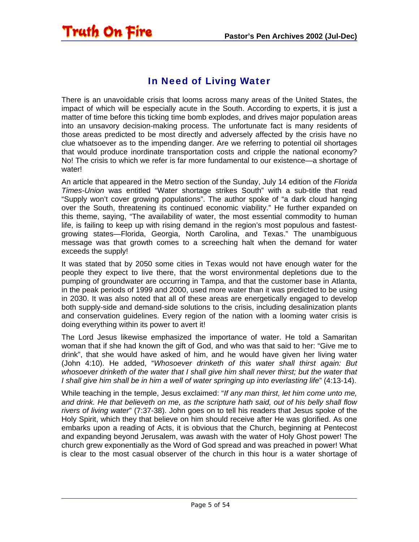### In Need of Living Water

<span id="page-4-0"></span>Truth On Fire

There is an unavoidable crisis that looms across many areas of the United States, the impact of which will be especially acute in the South. According to experts, it is just a matter of time before this ticking time bomb explodes, and drives major population areas into an unsavory decision-making process. The unfortunate fact is many residents of those areas predicted to be most directly and adversely affected by the crisis have no clue whatsoever as to the impending danger. Are we referring to potential oil shortages that would produce inordinate transportation costs and cripple the national economy? No! The crisis to which we refer is far more fundamental to our existence—a shortage of water!

An article that appeared in the Metro section of the Sunday, July 14 edition of the *Florida Times-Union* was entitled "Water shortage strikes South" with a sub-title that read "Supply won't cover growing populations". The author spoke of "a dark cloud hanging over the South, threatening its continued economic viability." He further expanded on this theme, saying, "The availability of water, the most essential commodity to human life, is failing to keep up with rising demand in the region's most populous and fastestgrowing states—Florida, Georgia, North Carolina, and Texas." The unambiguous message was that growth comes to a screeching halt when the demand for water exceeds the supply!

It was stated that by 2050 some cities in Texas would not have enough water for the people they expect to live there, that the worst environmental depletions due to the pumping of groundwater are occurring in Tampa, and that the customer base in Atlanta, in the peak periods of 1999 and 2000, used more water than it was predicted to be using in 2030. It was also noted that all of these areas are energetically engaged to develop both supply-side and demand-side solutions to the crisis, including desalinization plants and conservation guidelines. Every region of the nation with a looming water crisis is doing everything within its power to avert it!

The Lord Jesus likewise emphasized the importance of water. He told a Samaritan woman that if she had known the gift of God, and who was that said to her: "Give me to drink", that she would have asked of him, and he would have given her living water (John 4:10). He added, "*Whosoever drinketh of this water shall thirst again: But whosoever drinketh of the water that I shall give him shall never thirst; but the water that I shall give him shall be in him a well of water springing up into everlasting life*" (4:13-14).

While teaching in the temple, Jesus exclaimed: "*If any man thirst, let him come unto me, and drink. He that believeth on me, as the scripture hath said, out of his belly shall flow rivers of living water*" (7:37-38). John goes on to tell his readers that Jesus spoke of the Holy Spirit, which they that believe on him should receive after He was glorified. As one embarks upon a reading of Acts, it is obvious that the Church, beginning at Pentecost and expanding beyond Jerusalem, was awash with the water of Holy Ghost power! The church grew exponentially as the Word of God spread and was preached in power! What is clear to the most casual observer of the church in this hour is a water shortage of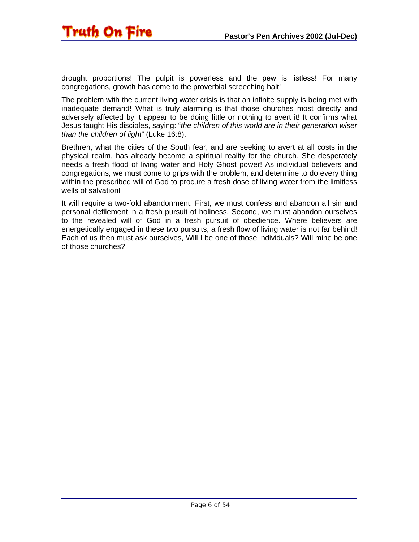

drought proportions! The pulpit is powerless and the pew is listless! For many congregations, growth has come to the proverbial screeching halt!

The problem with the current living water crisis is that an infinite supply is being met with inadequate demand! What is truly alarming is that those churches most directly and adversely affected by it appear to be doing little or nothing to avert it! It confirms what Jesus taught His disciples, saying: "*the children of this world are in their generation wiser than the children of light*" (Luke 16:8).

Brethren, what the cities of the South fear, and are seeking to avert at all costs in the physical realm, has already become a spiritual reality for the church. She desperately needs a fresh flood of living water and Holy Ghost power! As individual believers and congregations, we must come to grips with the problem, and determine to do every thing within the prescribed will of God to procure a fresh dose of living water from the limitless wells of salvation!

It will require a two-fold abandonment. First, we must confess and abandon all sin and personal defilement in a fresh pursuit of holiness. Second, we must abandon ourselves to the revealed will of God in a fresh pursuit of obedience. Where believers are energetically engaged in these two pursuits, a fresh flow of living water is not far behind! Each of us then must ask ourselves, Will I be one of those individuals? Will mine be one of those churches?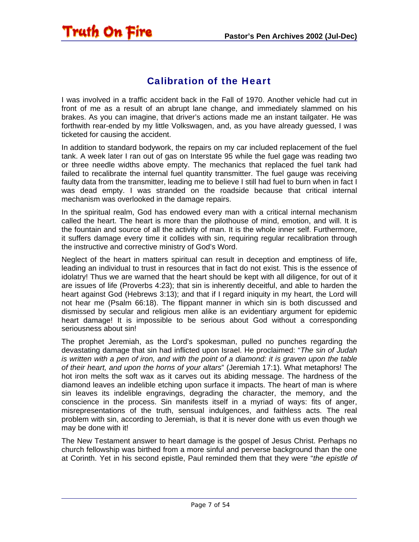### Calibration of the Heart

<span id="page-6-0"></span>Truth On Fire

I was involved in a traffic accident back in the Fall of 1970. Another vehicle had cut in front of me as a result of an abrupt lane change, and immediately slammed on his brakes. As you can imagine, that driver's actions made me an instant tailgater. He was forthwith rear-ended by my little Volkswagen, and, as you have already guessed, I was ticketed for causing the accident.

In addition to standard bodywork, the repairs on my car included replacement of the fuel tank. A week later I ran out of gas on Interstate 95 while the fuel gage was reading two or three needle widths above empty. The mechanics that replaced the fuel tank had failed to recalibrate the internal fuel quantity transmitter. The fuel gauge was receiving faulty data from the transmitter, leading me to believe I still had fuel to burn when in fact I was dead empty. I was stranded on the roadside because that critical internal mechanism was overlooked in the damage repairs.

In the spiritual realm, God has endowed every man with a critical internal mechanism called the heart. The heart is more than the pilothouse of mind, emotion, and will. It is the fountain and source of all the activity of man. It is the whole inner self. Furthermore, it suffers damage every time it collides with sin, requiring regular recalibration through the instructive and corrective ministry of God's Word.

Neglect of the heart in matters spiritual can result in deception and emptiness of life, leading an individual to trust in resources that in fact do not exist. This is the essence of idolatry! Thus we are warned that the heart should be kept with all diligence, for out of it are issues of life (Proverbs 4:23); that sin is inherently deceitful, and able to harden the heart against God (Hebrews 3:13); and that if I regard iniquity in my heart, the Lord will not hear me (Psalm 66:18). The flippant manner in which sin is both discussed and dismissed by secular and religious men alike is an evidentiary argument for epidemic heart damage! It is impossible to be serious about God without a corresponding seriousness about sin!

The prophet Jeremiah, as the Lord's spokesman, pulled no punches regarding the devastating damage that sin had inflicted upon Israel. He proclaimed: "*The sin of Judah is written with a pen of iron, and with the point of a diamond: it is graven upon the table of their heart, and upon the horns of your altars*" (Jeremiah 17:1). What metaphors! The hot iron melts the soft wax as it carves out its abiding message. The hardness of the diamond leaves an indelible etching upon surface it impacts. The heart of man is where sin leaves its indelible engravings, degrading the character, the memory, and the conscience in the process. Sin manifests itself in a myriad of ways: fits of anger, misrepresentations of the truth, sensual indulgences, and faithless acts. The real problem with sin, according to Jeremiah, is that it is never done with us even though we may be done with it!

The New Testament answer to heart damage is the gospel of Jesus Christ. Perhaps no church fellowship was birthed from a more sinful and perverse background than the one at Corinth. Yet in his second epistle, Paul reminded them that they were "*the epistle of*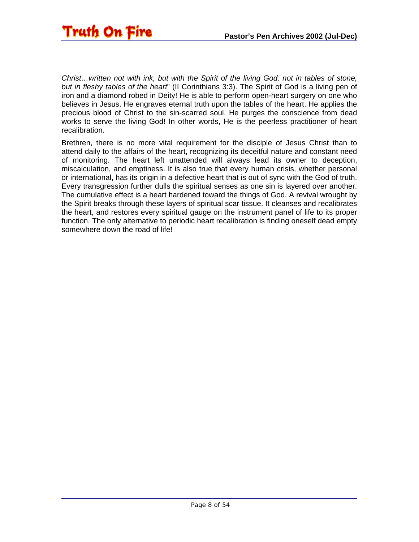*Christ…written not with ink, but with the Spirit of the living God; not in tables of stone, but in fleshy tables of the heart*" (II Corinthians 3:3). The Spirit of God is a living pen of iron and a diamond robed in Deity! He is able to perform open-heart surgery on one who believes in Jesus. He engraves eternal truth upon the tables of the heart. He applies the precious blood of Christ to the sin-scarred soul. He purges the conscience from dead works to serve the living God! In other words, He is the peerless practitioner of heart recalibration.

Brethren, there is no more vital requirement for the disciple of Jesus Christ than to attend daily to the affairs of the heart, recognizing its deceitful nature and constant need of monitoring. The heart left unattended will always lead its owner to deception, miscalculation, and emptiness. It is also true that every human crisis, whether personal or international, has its origin in a defective heart that is out of sync with the God of truth. Every transgression further dulls the spiritual senses as one sin is layered over another. The cumulative effect is a heart hardened toward the things of God. A revival wrought by the Spirit breaks through these layers of spiritual scar tissue. It cleanses and recalibrates the heart, and restores every spiritual gauge on the instrument panel of life to its proper function. The only alternative to periodic heart recalibration is finding oneself dead empty somewhere down the road of life!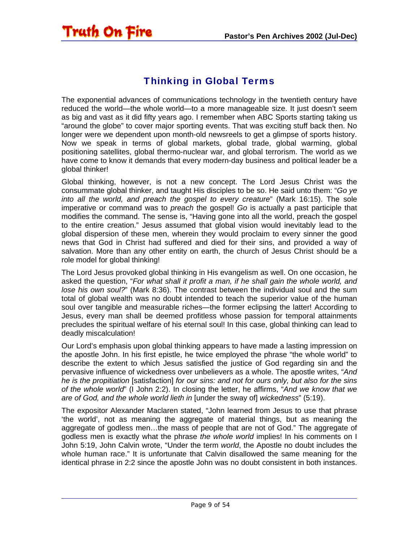### Thinking in Global Terms

<span id="page-8-0"></span>Truth On Fire

The exponential advances of communications technology in the twentieth century have reduced the world—the whole world—to a more manageable size. It just doesn't seem as big and vast as it did fifty years ago. I remember when ABC Sports starting taking us "around the globe" to cover major sporting events. That was exciting stuff back then. No longer were we dependent upon month-old newsreels to get a glimpse of sports history. Now we speak in terms of global markets, global trade, global warming, global positioning satellites, global thermo-nuclear war, and global terrorism. The world as we have come to know it demands that every modern-day business and political leader be a global thinker!

Global thinking, however, is not a new concept. The Lord Jesus Christ was the consummate global thinker, and taught His disciples to be so. He said unto them: "*Go ye into all the world, and preach the gospel to every creature*" (Mark 16:15). The sole imperative or command was to *preach* the gospel! *Go* is actually a past participle that modifies the command. The sense is, "Having gone into all the world, preach the gospel to the entire creation." Jesus assumed that global vision would inevitably lead to the global dispersion of these men, wherein they would proclaim to every sinner the good news that God in Christ had suffered and died for their sins, and provided a way of salvation. More than any other entity on earth, the church of Jesus Christ should be a role model for global thinking!

The Lord Jesus provoked global thinking in His evangelism as well. On one occasion, he asked the question, "*For what shall it profit a man, if he shall gain the whole world, and lose his own soul?*" (Mark 8:36). The contrast between the individual soul and the sum total of global wealth was no doubt intended to teach the superior value of the human soul over tangible and measurable riches—the former eclipsing the latter! According to Jesus, every man shall be deemed profitless whose passion for temporal attainments precludes the spiritual welfare of his eternal soul! In this case, global thinking can lead to deadly miscalculation!

Our Lord's emphasis upon global thinking appears to have made a lasting impression on the apostle John. In his first epistle, he twice employed the phrase "the whole world" to describe the extent to which Jesus satisfied the justice of God regarding sin and the pervasive influence of wickedness over unbelievers as a whole. The apostle writes, "*And he is the propitiation* [satisfaction] *for our sins: and not for ours only, but also for the sins of the whole world*" (I John 2:2). In closing the letter, he affirms, "*And we know that we are of God, and the whole world lieth in* [under the sway of] *wickedness*" (5:19).

The expositor Alexander Maclaren stated, "John learned from Jesus to use that phrase 'the world', not as meaning the aggregate of material things, but as meaning the aggregate of godless men…the mass of people that are not of God." The aggregate of godless men is exactly what the phrase *the whole world* implies! In his comments on I John 5:19, John Calvin wrote, "Under the term *world*, the Apostle no doubt includes the whole human race." It is unfortunate that Calvin disallowed the same meaning for the identical phrase in 2:2 since the apostle John was no doubt consistent in both instances.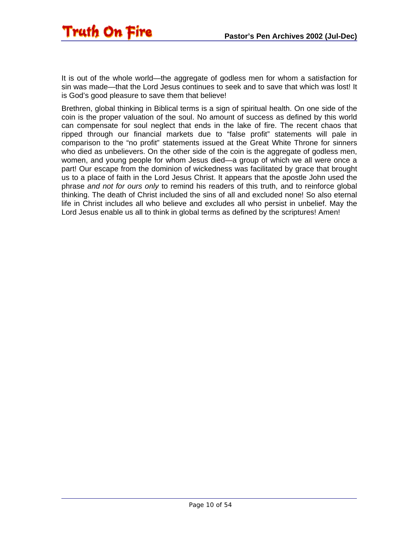

It is out of the whole world—the aggregate of godless men for whom a satisfaction for sin was made—that the Lord Jesus continues to seek and to save that which was lost! It is God's good pleasure to save them that believe!

Brethren, global thinking in Biblical terms is a sign of spiritual health. On one side of the coin is the proper valuation of the soul. No amount of success as defined by this world can compensate for soul neglect that ends in the lake of fire. The recent chaos that ripped through our financial markets due to "false profit" statements will pale in comparison to the "no profit" statements issued at the Great White Throne for sinners who died as unbelievers. On the other side of the coin is the aggregate of godless men, women, and young people for whom Jesus died—a group of which we all were once a part! Our escape from the dominion of wickedness was facilitated by grace that brought us to a place of faith in the Lord Jesus Christ. It appears that the apostle John used the phrase *and not for ours only* to remind his readers of this truth, and to reinforce global thinking. The death of Christ included the sins of all and excluded none! So also eternal life in Christ includes all who believe and excludes all who persist in unbelief. May the Lord Jesus enable us all to think in global terms as defined by the scriptures! Amen!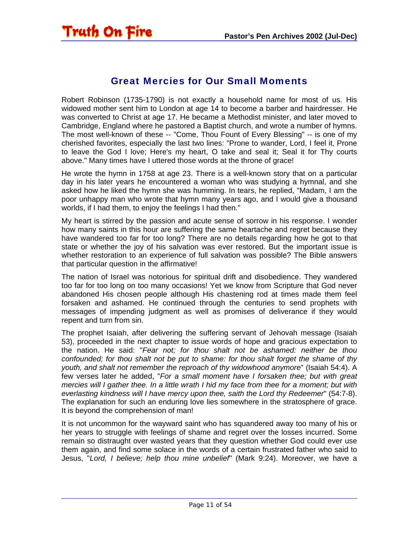<span id="page-10-0"></span>

### Great Mercies for Our Small Moments

Robert Robinson (1735-1790) is not exactly a household name for most of us. His widowed mother sent him to London at age 14 to become a barber and hairdresser. He was converted to Christ at age 17. He became a Methodist minister, and later moved to Cambridge, England where he pastored a Baptist church, and wrote a number of hymns. The most well-known of these -- "Come, Thou Fount of Every Blessing" -- is one of my cherished favorites, especially the last two lines: "Prone to wander, Lord, I feel it, Prone to leave the God I love; Here's my heart, O take and seal it; Seal it for Thy courts above." Many times have I uttered those words at the throne of grace!

He wrote the hymn in 1758 at age 23. There is a well-known story that on a particular day in his later years he encountered a woman who was studying a hymnal, and she asked how he liked the hymn she was humming. In tears, he replied, "Madam, I am the poor unhappy man who wrote that hymn many years ago, and I would give a thousand worlds, if I had them, to enjoy the feelings I had then."

My heart is stirred by the passion and acute sense of sorrow in his response. I wonder how many saints in this hour are suffering the same heartache and regret because they have wandered too far for too long? There are no details regarding how he got to that state or whether the joy of his salvation was ever restored. But the important issue is whether restoration to an experience of full salvation was possible? The Bible answers that particular question in the affirmative!

The nation of Israel was notorious for spiritual drift and disobedience. They wandered too far for too long on too many occasions! Yet we know from Scripture that God never abandoned His chosen people although His chastening rod at times made them feel forsaken and ashamed. He continued through the centuries to send prophets with messages of impending judgment as well as promises of deliverance if they would repent and turn from sin.

The prophet Isaiah, after delivering the suffering servant of Jehovah message (Isaiah 53), proceeded in the next chapter to issue words of hope and gracious expectation to the nation. He said: "*Fear not; for thou shalt not be ashamed: neither be thou confounded; for thou shalt not be put to shame: for thou shalt forget the shame of thy youth, and shalt not remember the reproach of thy widowhood anymore*" (Isaiah 54:4). A few verses later he added, "*For a small moment have I forsaken thee; but with great mercies will I gather thee. In a little wrath I hid my face from thee for a moment; but with everlasting kindness will I have mercy upon thee, saith the Lord thy Redeemer*" (54:7-8). The explanation for such an enduring love lies somewhere in the stratosphere of grace. It is beyond the comprehension of man!

It is not uncommon for the wayward saint who has squandered away too many of his or her years to struggle with feelings of shame and regret over the losses incurred. Some remain so distraught over wasted years that they question whether God could ever use them again, and find some solace in the words of a certain frustrated father who said to Jesus, "*Lord, I believe; help thou mine unbelief*" (Mark 9:24). Moreover, we have a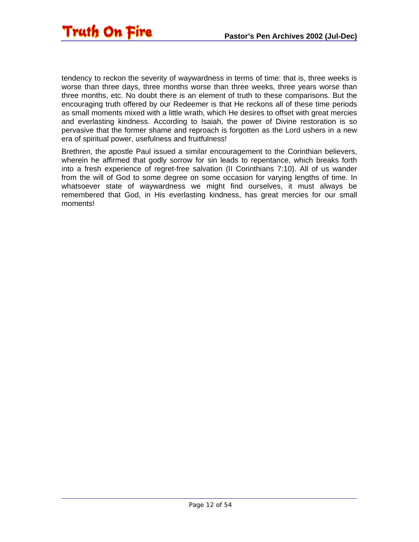

tendency to reckon the severity of waywardness in terms of time: that is, three weeks is worse than three days, three months worse than three weeks, three years worse than three months, etc. No doubt there is an element of truth to these comparisons. But the encouraging truth offered by our Redeemer is that He reckons all of these time periods as small moments mixed with a little wrath, which He desires to offset with great mercies and everlasting kindness. According to Isaiah, the power of Divine restoration is so pervasive that the former shame and reproach is forgotten as the Lord ushers in a new era of spiritual power, usefulness and fruitfulness!

Brethren, the apostle Paul issued a similar encouragement to the Corinthian believers, wherein he affirmed that godly sorrow for sin leads to repentance, which breaks forth into a fresh experience of regret-free salvation (II Corinthians 7:10). All of us wander from the will of God to some degree on some occasion for varying lengths of time. In whatsoever state of waywardness we might find ourselves, it must always be remembered that God, in His everlasting kindness, has great mercies for our small moments!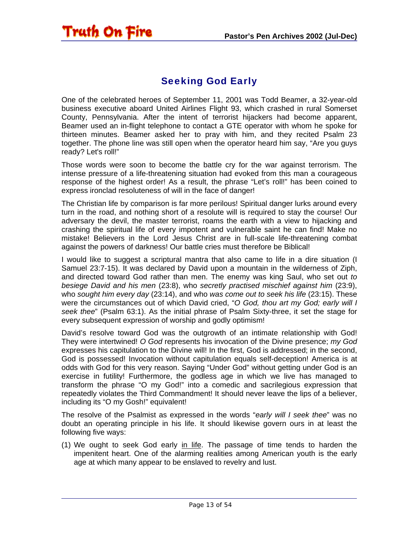<span id="page-12-0"></span>

### Seeking God Early

One of the celebrated heroes of September 11, 2001 was Todd Beamer, a 32-year-old business executive aboard United Airlines Flight 93, which crashed in rural Somerset County, Pennsylvania. After the intent of terrorist hijackers had become apparent, Beamer used an in-flight telephone to contact a GTE operator with whom he spoke for thirteen minutes. Beamer asked her to pray with him, and they recited Psalm 23 together. The phone line was still open when the operator heard him say, "Are you guys ready? Let's roll!"

Those words were soon to become the battle cry for the war against terrorism. The intense pressure of a life-threatening situation had evoked from this man a courageous response of the highest order! As a result, the phrase "Let's roll!" has been coined to express ironclad resoluteness of will in the face of danger!

The Christian life by comparison is far more perilous! Spiritual danger lurks around every turn in the road, and nothing short of a resolute will is required to stay the course! Our adversary the devil, the master terrorist, roams the earth with a view to hijacking and crashing the spiritual life of every impotent and vulnerable saint he can find! Make no mistake! Believers in the Lord Jesus Christ are in full-scale life-threatening combat against the powers of darkness! Our battle cries must therefore be Biblical!

I would like to suggest a scriptural mantra that also came to life in a dire situation (I Samuel 23:7-15). It was declared by David upon a mountain in the wilderness of Ziph, and directed toward God rather than men. The enemy was king Saul, who set out *to besiege David and his men* (23:8), who *secretly practised mischief against him* (23:9), who *sought him every day* (23:14), and who *was come out to seek his life* (23:15). These were the circumstances out of which David cried, "*O God, thou art my God; early will I seek thee*" (Psalm 63:1). As the initial phrase of Psalm Sixty-three, it set the stage for every subsequent expression of worship and godly optimism!

David's resolve toward God was the outgrowth of an intimate relationship with God! They were intertwined! *O God* represents his invocation of the Divine presence; *my God* expresses his capitulation to the Divine will! In the first, God is addressed; in the second, God is possessed! Invocation without capitulation equals self-deception! America is at odds with God for this very reason. Saying "Under God" without getting under God is an exercise in futility! Furthermore, the godless age in which we live has managed to transform the phrase "O my God!" into a comedic and sacrilegious expression that repeatedly violates the Third Commandment! It should never leave the lips of a believer, including its "O my Gosh!" equivalent!

The resolve of the Psalmist as expressed in the words "*early will I seek thee*" was no doubt an operating principle in his life. It should likewise govern ours in at least the following five ways:

(1) We ought to seek God early in life. The passage of time tends to harden the impenitent heart. One of the alarming realities among American youth is the early age at which many appear to be enslaved to revelry and lust.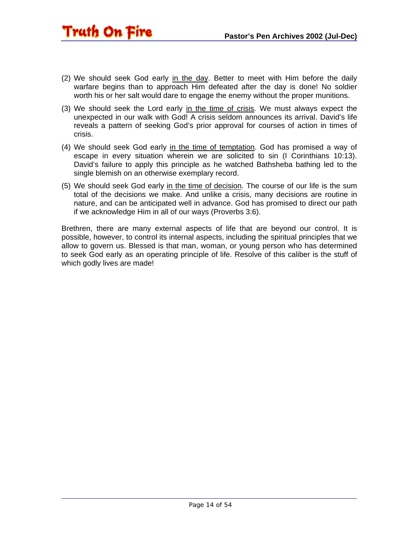- Truth On Fire
- (2) We should seek God early in the day. Better to meet with Him before the daily warfare begins than to approach Him defeated after the day is done! No soldier worth his or her salt would dare to engage the enemy without the proper munitions.
- (3) We should seek the Lord early in the time of crisis. We must always expect the unexpected in our walk with God! A crisis seldom announces its arrival. David's life reveals a pattern of seeking God's prior approval for courses of action in times of crisis.
- (4) We should seek God early in the time of temptation. God has promised a way of escape in every situation wherein we are solicited to sin (I Corinthians 10:13). David's failure to apply this principle as he watched Bathsheba bathing led to the single blemish on an otherwise exemplary record.
- (5) We should seek God early in the time of decision. The course of our life is the sum total of the decisions we make. And unlike a crisis, many decisions are routine in nature, and can be anticipated well in advance. God has promised to direct our path if we acknowledge Him in all of our ways (Proverbs 3:6).

Brethren, there are many external aspects of life that are beyond our control. It is possible, however, to control its internal aspects, including the spiritual principles that we allow to govern us. Blessed is that man, woman, or young person who has determined to seek God early as an operating principle of life. Resolve of this caliber is the stuff of which godly lives are made!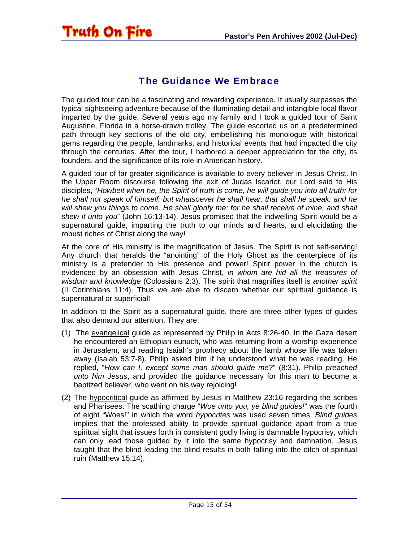### The Guidance We Embrace

<span id="page-14-0"></span>Truth On Fire

The guided tour can be a fascinating and rewarding experience. It usually surpasses the typical sightseeing adventure because of the illuminating detail and intangible local flavor imparted by the guide. Several years ago my family and I took a guided tour of Saint Augustine, Florida in a horse-drawn trolley. The guide escorted us on a predetermined path through key sections of the old city, embellishing his monologue with historical gems regarding the people, landmarks, and historical events that had impacted the city through the centuries. After the tour, I harbored a deeper appreciation for the city, its founders, and the significance of its role in American history.

A guided tour of far greater significance is available to every believer in Jesus Christ. In the Upper Room discourse following the exit of Judas Iscariot, our Lord said to His disciples, "*Howbeit when he, the Spirit of truth is come, he will guide you into all truth: for he shall not speak of himself; but whatsoever he shall hear, that shall he speak: and he*  will shew you things to come. He shall glorify me: for he shall receive of mine, and shall *shew it unto you*" (John 16:13-14). Jesus promised that the indwelling Spirit would be a supernatural guide, imparting the truth to our minds and hearts, and elucidating the robust riches of Christ along the way!

At the core of His ministry is the magnification of Jesus. The Spirit is not self-serving! Any church that heralds the "anointing" of the Holy Ghost as the centerpiece of its ministry is a pretender to His presence and power! Spirit power in the church is evidenced by an obsession with Jesus Christ, *in whom are hid all the treasures of wisdom and knowledge* (Colossians 2:3). The spirit that magnifies itself is *another spirit* (II Corinthians 11:4). Thus we are able to discern whether our spiritual guidance is supernatural or superficial!

In addition to the Spirit as a supernatural guide, there are three other types of guides that also demand our attention. They are:

- (1) The evangelical guide as represented by Philip in Acts 8:26-40. In the Gaza desert he encountered an Ethiopian eunuch, who was returning from a worship experience in Jerusalem, and reading Isaiah's prophecy about the lamb whose life was taken away (Isaiah 53:7-8). Philip asked him if he understood what he was reading. He replied, "*How can I, except some man should guide me*?" (8:31). Philip *preached unto him Jesus*, and provided the guidance necessary for this man to become a baptized believer, who went on his way rejoicing!
- (2) The hypocritical guide as affirmed by Jesus in Matthew 23:16 regarding the scribes and Pharisees. The scathing charge "*Woe unto you, ye blind guides!*" was the fourth of eight "Woes!" in which the word *hypocrites* was used seven times. *Blind guides* implies that the professed ability to provide spiritual guidance apart from a true spiritual sight that issues forth in consistent godly living is damnable hypocrisy, which can only lead those guided by it into the same hypocrisy and damnation. Jesus taught that the blind leading the blind results in both falling into the ditch of spiritual ruin (Matthew 15:14).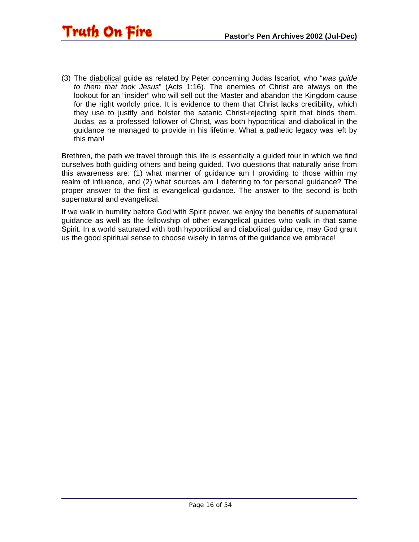(3) The diabolical guide as related by Peter concerning Judas Iscariot, who "*was guide to them that took Jesus*" (Acts 1:16). The enemies of Christ are always on the lookout for an "insider" who will sell out the Master and abandon the Kingdom cause for the right worldly price. It is evidence to them that Christ lacks credibility, which they use to justify and bolster the satanic Christ-rejecting spirit that binds them. Judas, as a professed follower of Christ, was both hypocritical and diabolical in the guidance he managed to provide in his lifetime. What a pathetic legacy was left by this man!

Brethren, the path we travel through this life is essentially a guided tour in which we find ourselves both guiding others and being guided. Two questions that naturally arise from this awareness are: (1) what manner of guidance am I providing to those within my realm of influence, and (2) what sources am I deferring to for personal guidance? The proper answer to the first is evangelical guidance. The answer to the second is both supernatural and evangelical.

If we walk in humility before God with Spirit power, we enjoy the benefits of supernatural guidance as well as the fellowship of other evangelical guides who walk in that same Spirit. In a world saturated with both hypocritical and diabolical guidance, may God grant us the good spiritual sense to choose wisely in terms of the guidance we embrace!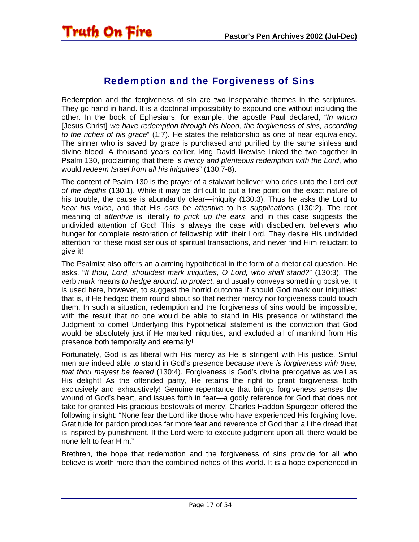<span id="page-16-0"></span>

### Redemption and the Forgiveness of Sins

Redemption and the forgiveness of sin are two inseparable themes in the scriptures. They go hand in hand. It is a doctrinal impossibility to expound one without including the other. In the book of Ephesians, for example, the apostle Paul declared, "*In whom* [Jesus Christ] *we have redemption through his blood, the forgiveness of sins, according to the riches of his grace*" (1:7). He states the relationship as one of near equivalency. The sinner who is saved by grace is purchased and purified by the same sinless and divine blood. A thousand years earlier, king David likewise linked the two together in Psalm 130, proclaiming that there is *mercy and plenteous redemption with the Lord*, who would *redeem Israel from all his iniquities*" (130:7-8).

The content of Psalm 130 is the prayer of a stalwart believer who cries unto the Lord *out of the depths* (130:1). While it may be difficult to put a fine point on the exact nature of his trouble, the cause is abundantly clear—iniquity (130:3). Thus he asks the Lord to *hear his voice*, and that His *ears be attentive* to his *supplications* (130:2). The root meaning of *attentive* is literally *to prick up the ears*, and in this case suggests the undivided attention of God! This is always the case with disobedient believers who hunger for complete restoration of fellowship with their Lord. They desire His undivided attention for these most serious of spiritual transactions, and never find Him reluctant to give it!

The Psalmist also offers an alarming hypothetical in the form of a rhetorical question. He asks, "*If thou, Lord, shouldest mark iniquities, O Lord, who shall stand?*" (130:3). The verb *mark* means *to hedge around, to protect*, and usually conveys something positive. It is used here, however, to suggest the horrid outcome if should God mark our iniquities: that is, if He hedged them round about so that neither mercy nor forgiveness could touch them. In such a situation, redemption and the forgiveness of sins would be impossible, with the result that no one would be able to stand in His presence or withstand the Judgment to come! Underlying this hypothetical statement is the conviction that God would be absolutely just if He marked iniquities, and excluded all of mankind from His presence both temporally and eternally!

Fortunately, God is as liberal with His mercy as He is stringent with His justice. Sinful men are indeed able to stand in God's presence because *there is forgiveness with thee, that thou mayest be feared* (130:4). Forgiveness is God's divine prerogative as well as His delight! As the offended party, He retains the right to grant forgiveness both exclusively and exhaustively! Genuine repentance that brings forgiveness senses the wound of God's heart, and issues forth in fear—a godly reference for God that does not take for granted His gracious bestowals of mercy! Charles Haddon Spurgeon offered the following insight: "None fear the Lord like those who have experienced His forgiving love. Gratitude for pardon produces far more fear and reverence of God than all the dread that is inspired by punishment. If the Lord were to execute judgment upon all, there would be none left to fear Him."

Brethren, the hope that redemption and the forgiveness of sins provide for all who believe is worth more than the combined riches of this world. It is a hope experienced in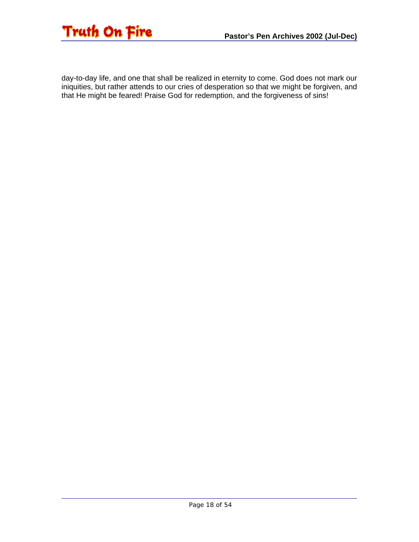

day-to-day life, and one that shall be realized in eternity to come. God does not mark our iniquities, but rather attends to our cries of desperation so that we might be forgiven, and that He might be feared! Praise God for redemption, and the forgiveness of sins!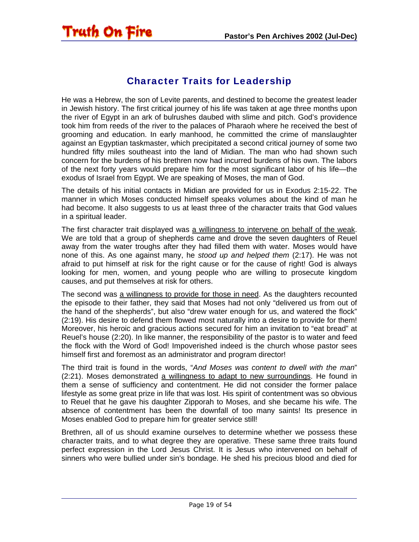<span id="page-18-0"></span>

### Character Traits for Leadership

He was a Hebrew, the son of Levite parents, and destined to become the greatest leader in Jewish history. The first critical journey of his life was taken at age three months upon the river of Egypt in an ark of bulrushes daubed with slime and pitch. God's providence took him from reeds of the river to the palaces of Pharaoh where he received the best of grooming and education. In early manhood, he committed the crime of manslaughter against an Egyptian taskmaster, which precipitated a second critical journey of some two hundred fifty miles southeast into the land of Midian. The man who had shown such concern for the burdens of his brethren now had incurred burdens of his own. The labors of the next forty years would prepare him for the most significant labor of his life—the exodus of Israel from Egypt. We are speaking of Moses, the man of God.

The details of his initial contacts in Midian are provided for us in Exodus 2:15-22. The manner in which Moses conducted himself speaks volumes about the kind of man he had become. It also suggests to us at least three of the character traits that God values in a spiritual leader.

The first character trait displayed was a willingness to intervene on behalf of the weak. We are told that a group of shepherds came and drove the seven daughters of Reuel away from the water troughs after they had filled them with water. Moses would have none of this. As one against many, he *stood up and helped them* (2:17). He was not afraid to put himself at risk for the right cause or for the cause of right! God is always looking for men, women, and young people who are willing to prosecute kingdom causes, and put themselves at risk for others.

The second was a willingness to provide for those in need. As the daughters recounted the episode to their father, they said that Moses had not only "delivered us from out of the hand of the shepherds", but also "drew water enough for us, and watered the flock" (2:19). His desire to defend them flowed most naturally into a desire to provide for them! Moreover, his heroic and gracious actions secured for him an invitation to "eat bread" at Reuel's house (2:20). In like manner, the responsibility of the pastor is to water and feed the flock with the Word of God! Impoverished indeed is the church whose pastor sees himself first and foremost as an administrator and program director!

The third trait is found in the words, "*And Moses was content to dwell with the man*" (2:21). Moses demonstrated a willingness to adapt to new surroundings. He found in them a sense of sufficiency and contentment. He did not consider the former palace lifestyle as some great prize in life that was lost. His spirit of contentment was so obvious to Reuel that he gave his daughter Zipporah to Moses, and she became his wife. The absence of contentment has been the downfall of too many saints! Its presence in Moses enabled God to prepare him for greater service still!

Brethren, all of us should examine ourselves to determine whether we possess these character traits, and to what degree they are operative. These same three traits found perfect expression in the Lord Jesus Christ. It is Jesus who intervened on behalf of sinners who were bullied under sin's bondage. He shed his precious blood and died for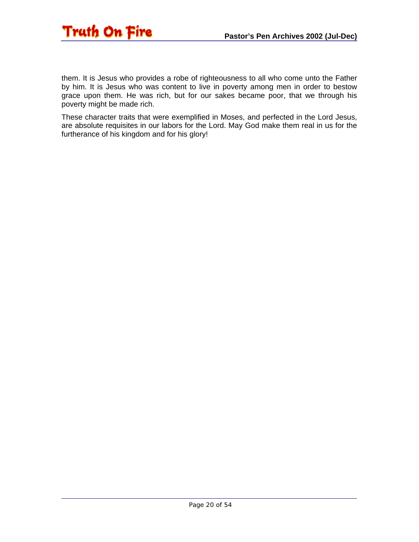

them. It is Jesus who provides a robe of righteousness to all who come unto the Father by him. It is Jesus who was content to live in poverty among men in order to bestow grace upon them. He was rich, but for our sakes became poor, that we through his poverty might be made rich.

These character traits that were exemplified in Moses, and perfected in the Lord Jesus, are absolute requisites in our labors for the Lord. May God make them real in us for the furtherance of his kingdom and for his glory!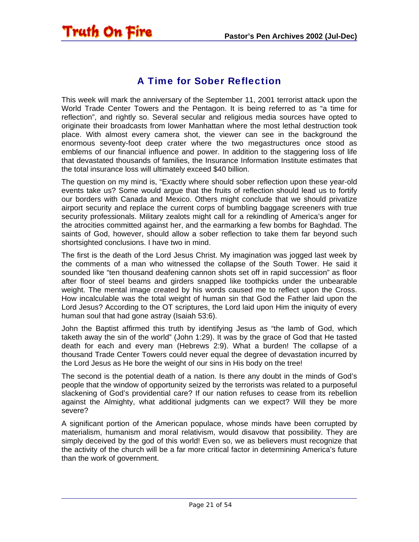## <span id="page-20-0"></span>Truth On Fire

### A Time for Sober Reflection

This week will mark the anniversary of the September 11, 2001 terrorist attack upon the World Trade Center Towers and the Pentagon. It is being referred to as "a time for reflection", and rightly so. Several secular and religious media sources have opted to originate their broadcasts from lower Manhattan where the most lethal destruction took place. With almost every camera shot, the viewer can see in the background the enormous seventy-foot deep crater where the two megastructures once stood as emblems of our financial influence and power. In addition to the staggering loss of life that devastated thousands of families, the Insurance Information Institute estimates that the total insurance loss will ultimately exceed \$40 billion.

The question on my mind is, "Exactly where should sober reflection upon these year-old events take us? Some would argue that the fruits of reflection should lead us to fortify our borders with Canada and Mexico. Others might conclude that we should privatize airport security and replace the current corps of bumbling baggage screeners with true security professionals. Military zealots might call for a rekindling of America's anger for the atrocities committed against her, and the earmarking a few bombs for Baghdad. The saints of God, however, should allow a sober reflection to take them far beyond such shortsighted conclusions. I have two in mind.

The first is the death of the Lord Jesus Christ. My imagination was jogged last week by the comments of a man who witnessed the collapse of the South Tower. He said it sounded like "ten thousand deafening cannon shots set off in rapid succession" as floor after floor of steel beams and girders snapped like toothpicks under the unbearable weight. The mental image created by his words caused me to reflect upon the Cross. How incalculable was the total weight of human sin that God the Father laid upon the Lord Jesus? According to the OT scriptures, the Lord laid upon Him the iniquity of every human soul that had gone astray (Isaiah 53:6).

John the Baptist affirmed this truth by identifying Jesus as "the lamb of God, which taketh away the sin of the world" (John 1:29). It was by the grace of God that He tasted death for each and every man (Hebrews 2:9). What a burden! The collapse of a thousand Trade Center Towers could never equal the degree of devastation incurred by the Lord Jesus as He bore the weight of our sins in His body on the tree!

The second is the potential death of a nation. Is there any doubt in the minds of God's people that the window of opportunity seized by the terrorists was related to a purposeful slackening of God's providential care? If our nation refuses to cease from its rebellion against the Almighty, what additional judgments can we expect? Will they be more severe?

A significant portion of the American populace, whose minds have been corrupted by materialism, humanism and moral relativism, would disavow that possibility. They are simply deceived by the god of this world! Even so, we as believers must recognize that the activity of the church will be a far more critical factor in determining America's future than the work of government.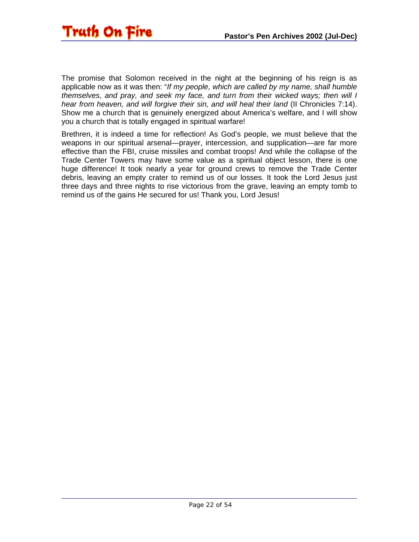

The promise that Solomon received in the night at the beginning of his reign is as applicable now as it was then: "*If my people, which are called by my name, shall humble themselves, and pray, and seek my face, and turn from their wicked ways; then will I hear from heaven, and will forgive their sin, and will heal their land* (II Chronicles 7:14). Show me a church that is genuinely energized about America's welfare, and I will show you a church that is totally engaged in spiritual warfare!

Brethren, it is indeed a time for reflection! As God's people, we must believe that the weapons in our spiritual arsenal—prayer, intercession, and supplication—are far more effective than the FBI, cruise missiles and combat troops! And while the collapse of the Trade Center Towers may have some value as a spiritual object lesson, there is one huge difference! It took nearly a year for ground crews to remove the Trade Center debris, leaving an empty crater to remind us of our losses. It took the Lord Jesus just three days and three nights to rise victorious from the grave, leaving an empty tomb to remind us of the gains He secured for us! Thank you, Lord Jesus!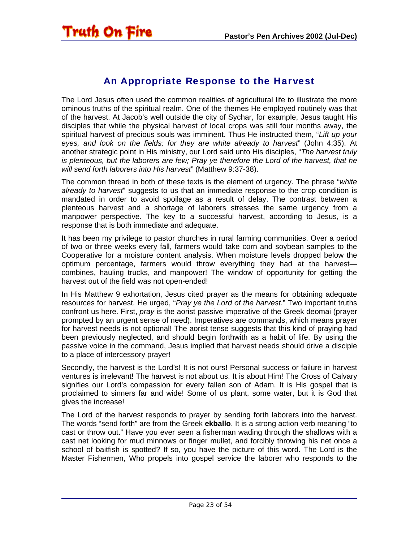<span id="page-22-0"></span>

### An Appropriate Response to the Harvest

The Lord Jesus often used the common realities of agricultural life to illustrate the more ominous truths of the spiritual realm. One of the themes He employed routinely was that of the harvest. At Jacob's well outside the city of Sychar, for example, Jesus taught His disciples that while the physical harvest of local crops was still four months away, the spiritual harvest of precious souls was imminent. Thus He instructed them, "*Lift up your eyes, and look on the fields; for they are white already to harvest*" (John 4:35). At another strategic point in His ministry, our Lord said unto His disciples, "*The harvest truly is plenteous, but the laborers are few; Pray ye therefore the Lord of the harvest, that he will send forth laborers into His harvest*" (Matthew 9:37-38).

The common thread in both of these texts is the element of urgency. The phrase "*white already to harvest*" suggests to us that an immediate response to the crop condition is mandated in order to avoid spoilage as a result of delay. The contrast between a plenteous harvest and a shortage of laborers stresses the same urgency from a manpower perspective. The key to a successful harvest, according to Jesus, is a response that is both immediate and adequate.

It has been my privilege to pastor churches in rural farming communities. Over a period of two or three weeks every fall, farmers would take corn and soybean samples to the Cooperative for a moisture content analysis. When moisture levels dropped below the optimum percentage, farmers would throw everything they had at the harvest combines, hauling trucks, and manpower! The window of opportunity for getting the harvest out of the field was not open-ended!

In His Matthew 9 exhortation, Jesus cited prayer as the means for obtaining adequate resources for harvest. He urged, "*Pray ye the Lord of the harvest*." Two important truths confront us here. First, *pray* is the aorist passive imperative of the Greek deomai (prayer prompted by an urgent sense of need). Imperatives are commands, which means prayer for harvest needs is not optional! The aorist tense suggests that this kind of praying had been previously neglected, and should begin forthwith as a habit of life. By using the passive voice in the command, Jesus implied that harvest needs should drive a disciple to a place of intercessory prayer!

Secondly, the harvest is the Lord's! It is not ours! Personal success or failure in harvest ventures is irrelevant! The harvest is not about us. It is about Him! The Cross of Calvary signifies our Lord's compassion for every fallen son of Adam. It is His gospel that is proclaimed to sinners far and wide! Some of us plant, some water, but it is God that gives the increase!

The Lord of the harvest responds to prayer by sending forth laborers into the harvest. The words "send forth" are from the Greek **ekballo**. It is a strong action verb meaning "to cast or throw out." Have you ever seen a fisherman wading through the shallows with a cast net looking for mud minnows or finger mullet, and forcibly throwing his net once a school of baitfish is spotted? If so, you have the picture of this word. The Lord is the Master Fishermen, Who propels into gospel service the laborer who responds to the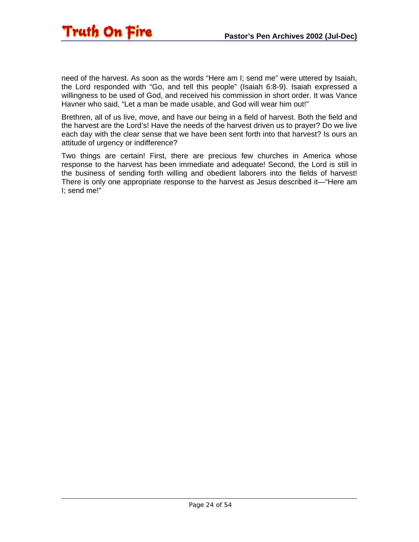need of the harvest. As soon as the words "Here am I; send me" were uttered by Isaiah, the Lord responded with "Go, and tell this people" (Isaiah 6:8-9). Isaiah expressed a willingness to be used of God, and received his commission in short order. It was Vance Havner who said, "Let a man be made usable, and God will wear him out!"

Brethren, all of us live, move, and have our being in a field of harvest. Both the field and the harvest are the Lord's! Have the needs of the harvest driven us to prayer? Do we live each day with the clear sense that we have been sent forth into that harvest? Is ours an attitude of urgency or indifference?

Two things are certain! First, there are precious few churches in America whose response to the harvest has been immediate and adequate! Second, the Lord is still in the business of sending forth willing and obedient laborers into the fields of harvest! There is only one appropriate response to the harvest as Jesus described it—"Here am I; send me!"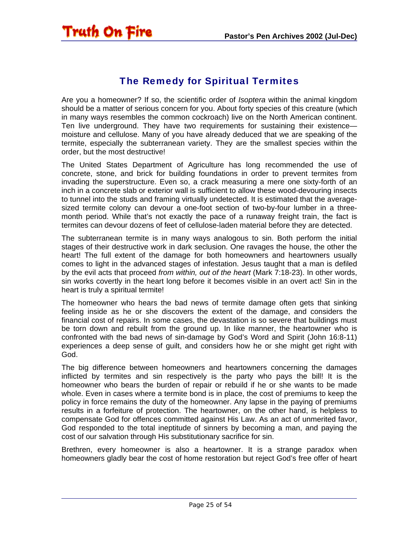### The Remedy for Spiritual Termites

<span id="page-24-0"></span>Are you a homeowner? If so, the scientific order of *Isoptera* within the animal kingdom should be a matter of serious concern for you. About forty species of this creature (which in many ways resembles the common cockroach) live on the North American continent. Ten live underground. They have two requirements for sustaining their existence moisture and cellulose. Many of you have already deduced that we are speaking of the termite, especially the subterranean variety. They are the smallest species within the order, but the most destructive!

The United States Department of Agriculture has long recommended the use of concrete, stone, and brick for building foundations in order to prevent termites from invading the superstructure. Even so, a crack measuring a mere one sixty-forth of an inch in a concrete slab or exterior wall is sufficient to allow these wood-devouring insects to tunnel into the studs and framing virtually undetected. It is estimated that the averagesized termite colony can devour a one-foot section of two-by-four lumber in a threemonth period. While that's not exactly the pace of a runaway freight train, the fact is termites can devour dozens of feet of cellulose-laden material before they are detected.

The subterranean termite is in many ways analogous to sin. Both perform the initial stages of their destructive work in dark seclusion. One ravages the house, the other the heart! The full extent of the damage for both homeowners and heartowners usually comes to light in the advanced stages of infestation. Jesus taught that a man is defiled by the evil acts that proceed *from within, out of the heart* (Mark 7:18-23). In other words, sin works covertly in the heart long before it becomes visible in an overt act! Sin in the heart is truly a spiritual termite!

The homeowner who hears the bad news of termite damage often gets that sinking feeling inside as he or she discovers the extent of the damage, and considers the financial cost of repairs. In some cases, the devastation is so severe that buildings must be torn down and rebuilt from the ground up. In like manner, the heartowner who is confronted with the bad news of sin-damage by God's Word and Spirit (John 16:8-11) experiences a deep sense of guilt, and considers how he or she might get right with God.

The big difference between homeowners and heartowners concerning the damages inflicted by termites and sin respectively is the party who pays the bill! It is the homeowner who bears the burden of repair or rebuild if he or she wants to be made whole. Even in cases where a termite bond is in place, the cost of premiums to keep the policy in force remains the duty of the homeowner. Any lapse in the paying of premiums results in a forfeiture of protection. The heartowner, on the other hand, is helpless to compensate God for offences committed against His Law. As an act of unmerited favor, God responded to the total ineptitude of sinners by becoming a man, and paying the cost of our salvation through His substitutionary sacrifice for sin.

Brethren, every homeowner is also a heartowner. It is a strange paradox when homeowners gladly bear the cost of home restoration but reject God's free offer of heart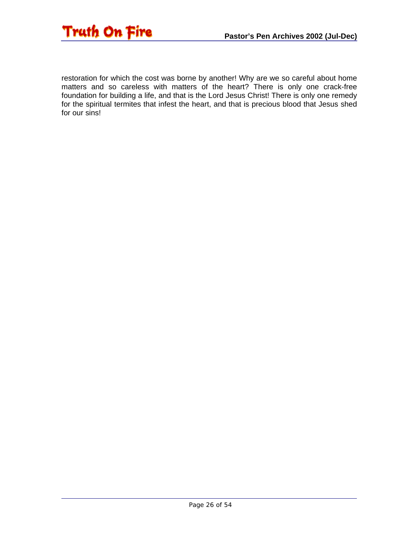

restoration for which the cost was borne by another! Why are we so careful about home matters and so careless with matters of the heart? There is only one crack-free foundation for building a life, and that is the Lord Jesus Christ! There is only one remedy for the spiritual termites that infest the heart, and that is precious blood that Jesus shed for our sins!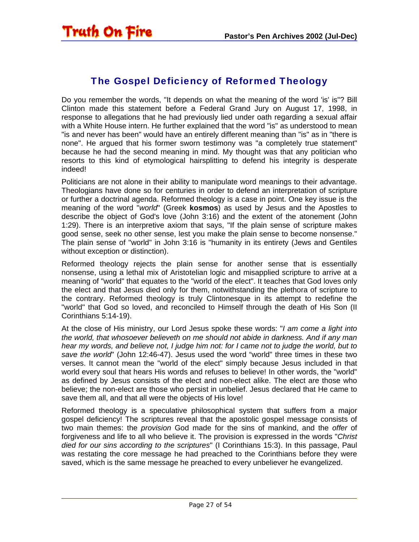<span id="page-26-0"></span>

### The Gospel Deficiency of Reformed Theology

Do you remember the words, "It depends on what the meaning of the word 'is' is"? Bill Clinton made this statement before a Federal Grand Jury on August 17, 1998, in response to allegations that he had previously lied under oath regarding a sexual affair with a White House intern. He further explained that the word "is" as understood to mean "is and never has been" would have an entirely different meaning than "is" as in "there is none". He argued that his former sworn testimony was "a completely true statement" because he had the second meaning in mind. My thought was that any politician who resorts to this kind of etymological hairsplitting to defend his integrity is desperate indeed!

Politicians are not alone in their ability to manipulate word meanings to their advantage. Theologians have done so for centuries in order to defend an interpretation of scripture or further a doctrinal agenda. Reformed theology is a case in point. One key issue is the meaning of the word "*world*" (Greek **kosmos**) as used by Jesus and the Apostles to describe the object of God's love (John 3:16) and the extent of the atonement (John 1:29). There is an interpretive axiom that says, "If the plain sense of scripture makes good sense, seek no other sense, lest you make the plain sense to become nonsense." The plain sense of "world" in John 3:16 is "humanity in its entirety (Jews and Gentiles without exception or distinction).

Reformed theology rejects the plain sense for another sense that is essentially nonsense, using a lethal mix of Aristotelian logic and misapplied scripture to arrive at a meaning of "world" that equates to the "world of the elect". It teaches that God loves only the elect and that Jesus died only for them, notwithstanding the plethora of scripture to the contrary. Reformed theology is truly Clintonesque in its attempt to redefine the "world" that God so loved, and reconciled to Himself through the death of His Son (II Corinthians 5:14-19).

At the close of His ministry, our Lord Jesus spoke these words: "*I am come a light into the world, that whosoever believeth on me should not abide in darkness. And if any man hear my words, and believe not, I judge him not: for I came not to judge the world, but to save the world*" (John 12:46-47). Jesus used the word "world" three times in these two verses. It cannot mean the "world of the elect" simply because Jesus included in that world every soul that hears His words and refuses to believe! In other words, the "world" as defined by Jesus consists of the elect and non-elect alike. The elect are those who believe; the non-elect are those who persist in unbelief. Jesus declared that He came to save them all, and that all were the objects of His love!

Reformed theology is a speculative philosophical system that suffers from a major gospel deficiency! The scriptures reveal that the apostolic gospel message consists of two main themes: the *provision* God made for the sins of mankind, and the *offer* of forgiveness and life to all who believe it. The provision is expressed in the words "*Christ died for our sins according to the scriptures*" (I Corinthians 15:3). In this passage, Paul was restating the core message he had preached to the Corinthians before they were saved, which is the same message he preached to every unbeliever he evangelized.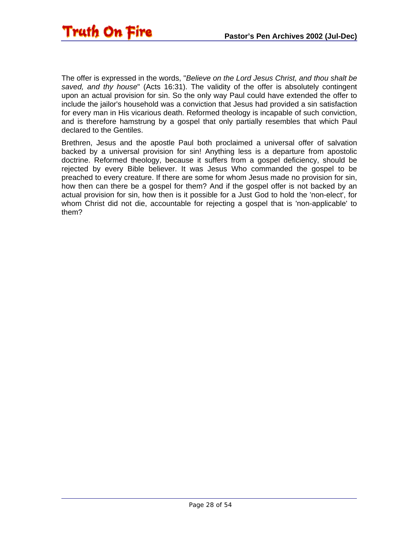The offer is expressed in the words, "*Believe on the Lord Jesus Christ, and thou shalt be saved, and thy house*" (Acts 16:31). The validity of the offer is absolutely contingent upon an actual provision for sin. So the only way Paul could have extended the offer to include the jailor's household was a conviction that Jesus had provided a sin satisfaction for every man in His vicarious death. Reformed theology is incapable of such conviction, and is therefore hamstrung by a gospel that only partially resembles that which Paul declared to the Gentiles.

Brethren, Jesus and the apostle Paul both proclaimed a universal offer of salvation backed by a universal provision for sin! Anything less is a departure from apostolic doctrine. Reformed theology, because it suffers from a gospel deficiency, should be rejected by every Bible believer. It was Jesus Who commanded the gospel to be preached to every creature. If there are some for whom Jesus made no provision for sin, how then can there be a gospel for them? And if the gospel offer is not backed by an actual provision for sin, how then is it possible for a Just God to hold the 'non-elect', for whom Christ did not die, accountable for rejecting a gospel that is 'non-applicable' to them?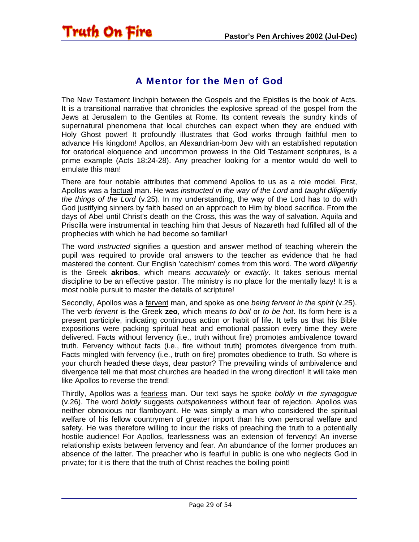### <span id="page-28-0"></span>**Truth On Fire**

### A Mentor for the Men of God

The New Testament linchpin between the Gospels and the Epistles is the book of Acts. It is a transitional narrative that chronicles the explosive spread of the gospel from the Jews at Jerusalem to the Gentiles at Rome. Its content reveals the sundry kinds of supernatural phenomena that local churches can expect when they are endued with Holy Ghost power! It profoundly illustrates that God works through faithful men to advance His kingdom! Apollos, an Alexandrian-born Jew with an established reputation for oratorical eloquence and uncommon prowess in the Old Testament scriptures, is a prime example (Acts 18:24-28). Any preacher looking for a mentor would do well to emulate this man!

There are four notable attributes that commend Apollos to us as a role model. First, Apollos was a factual man. He was *instructed in the way of the Lord* and *taught diligently the things of the Lord* (v.25). In my understanding, the way of the Lord has to do with God justifying sinners by faith based on an approach to Him by blood sacrifice. From the days of Abel until Christ's death on the Cross, this was the way of salvation. Aquila and Priscilla were instrumental in teaching him that Jesus of Nazareth had fulfilled all of the prophecies with which he had become so familiar!

The word *instructed* signifies a question and answer method of teaching wherein the pupil was required to provide oral answers to the teacher as evidence that he had mastered the content. Our English 'catechism' comes from this word. The word *diligently* is the Greek **akribos**, which means *accurately* or *exactly*. It takes serious mental discipline to be an effective pastor. The ministry is no place for the mentally lazy! It is a most noble pursuit to master the details of scripture!

Secondly, Apollos was a fervent man, and spoke as one *being fervent in the spirit* (v.25). The verb *fervent* is the Greek **zeo**, which means *to boil* or *to be hot*. Its form here is a present participle, indicating continuous action or habit of life. It tells us that his Bible expositions were packing spiritual heat and emotional passion every time they were delivered. Facts without fervency (i.e., truth without fire) promotes ambivalence toward truth. Fervency without facts (i.e., fire without truth) promotes divergence from truth. Facts mingled with fervency (i.e., truth on fire) promotes obedience to truth. So where is your church headed these days, dear pastor? The prevailing winds of ambivalence and divergence tell me that most churches are headed in the wrong direction! It will take men like Apollos to reverse the trend!

Thirdly, Apollos was a fearless man. Our text says he *spoke boldly in the synagogue* (v.26). The word *boldly* suggests *outspokenness* without fear of rejection. Apollos was neither obnoxious nor flamboyant. He was simply a man who considered the spiritual welfare of his fellow countrymen of greater import than his own personal welfare and safety. He was therefore willing to incur the risks of preaching the truth to a potentially hostile audience! For Apollos, fearlessness was an extension of fervency! An inverse relationship exists between fervency and fear. An abundance of the former produces an absence of the latter. The preacher who is fearful in public is one who neglects God in private; for it is there that the truth of Christ reaches the boiling point!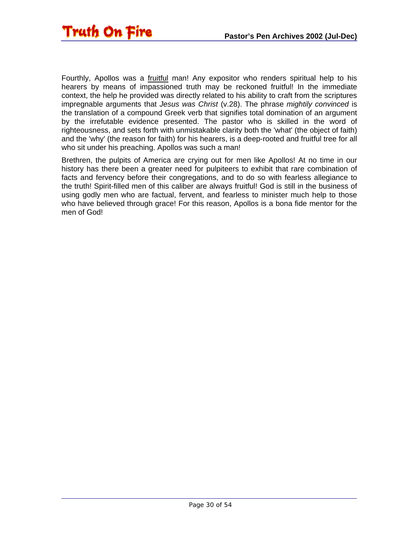

Fourthly, Apollos was a fruitful man! Any expositor who renders spiritual help to his hearers by means of impassioned truth may be reckoned fruitful! In the immediate context, the help he provided was directly related to his ability to craft from the scriptures impregnable arguments that *Jesus was Christ* (v.28). The phrase *mightily convinced* is the translation of a compound Greek verb that signifies total domination of an argument by the irrefutable evidence presented. The pastor who is skilled in the word of righteousness, and sets forth with unmistakable clarity both the 'what' (the object of faith) and the 'why' (the reason for faith) for his hearers, is a deep-rooted and fruitful tree for all who sit under his preaching. Apollos was such a man!

Brethren, the pulpits of America are crying out for men like Apollos! At no time in our history has there been a greater need for pulpiteers to exhibit that rare combination of facts and fervency before their congregations, and to do so with fearless allegiance to the truth! Spirit-filled men of this caliber are always fruitful! God is still in the business of using godly men who are factual, fervent, and fearless to minister much help to those who have believed through grace! For this reason, Apollos is a bona fide mentor for the men of God!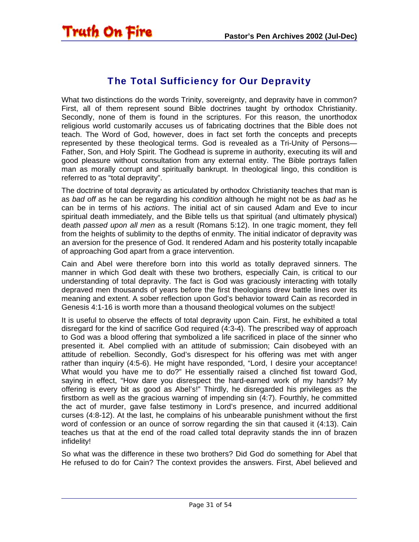<span id="page-30-0"></span>

### The Total Sufficiency for Our Depravity

What two distinctions do the words Trinity, sovereignty, and depravity have in common? First, all of them represent sound Bible doctrines taught by orthodox Christianity. Secondly, none of them is found in the scriptures. For this reason, the unorthodox religious world customarily accuses us of fabricating doctrines that the Bible does not teach. The Word of God, however, does in fact set forth the concepts and precepts represented by these theological terms. God is revealed as a Tri-Unity of Persons— Father, Son, and Holy Spirit. The Godhead is supreme in authority, executing its will and good pleasure without consultation from any external entity. The Bible portrays fallen man as morally corrupt and spiritually bankrupt. In theological lingo, this condition is referred to as "total depravity".

The doctrine of total depravity as articulated by orthodox Christianity teaches that man is as *bad off* as he can be regarding his *condition* although he might not be as *bad* as he can be in terms of his *actions*. The initial act of sin caused Adam and Eve to incur spiritual death immediately, and the Bible tells us that spiritual (and ultimately physical) death *passed upon all men* as a result (Romans 5:12). In one tragic moment, they fell from the heights of sublimity to the depths of enmity. The initial indicator of depravity was an aversion for the presence of God. It rendered Adam and his posterity totally incapable of approaching God apart from a grace intervention.

Cain and Abel were therefore born into this world as totally depraved sinners. The manner in which God dealt with these two brothers, especially Cain, is critical to our understanding of total depravity. The fact is God was graciously interacting with totally depraved men thousands of years before the first theologians drew battle lines over its meaning and extent. A sober reflection upon God's behavior toward Cain as recorded in Genesis 4:1-16 is worth more than a thousand theological volumes on the subject!

It is useful to observe the effects of total depravity upon Cain. First, he exhibited a total disregard for the kind of sacrifice God required (4:3-4). The prescribed way of approach to God was a blood offering that symbolized a life sacrificed in place of the sinner who presented it. Abel complied with an attitude of submission; Cain disobeyed with an attitude of rebellion. Secondly, God's disrespect for his offering was met with anger rather than inquiry (4:5-6). He might have responded, "Lord, I desire your acceptance! What would you have me to do?" He essentially raised a clinched fist toward God, saying in effect, "How dare you disrespect the hard-earned work of my hands!? My offering is every bit as good as Abel's!" Thirdly, he disregarded his privileges as the firstborn as well as the gracious warning of impending sin (4:7). Fourthly, he committed the act of murder, gave false testimony in Lord's presence, and incurred additional curses (4:8-12). At the last, he complains of his unbearable punishment without the first word of confession or an ounce of sorrow regarding the sin that caused it (4:13). Cain teaches us that at the end of the road called total depravity stands the inn of brazen infidelity!

So what was the difference in these two brothers? Did God do something for Abel that He refused to do for Cain? The context provides the answers. First, Abel believed and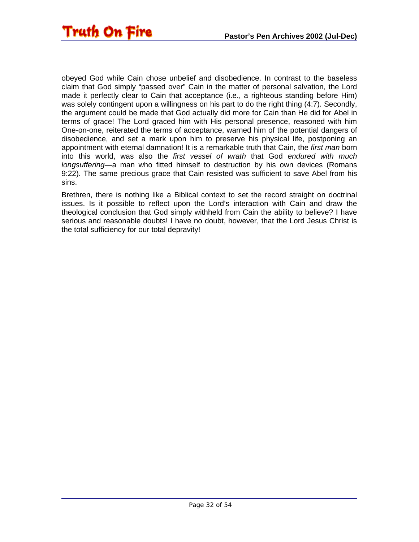

obeyed God while Cain chose unbelief and disobedience. In contrast to the baseless claim that God simply "passed over" Cain in the matter of personal salvation, the Lord made it perfectly clear to Cain that acceptance (i.e., a righteous standing before Him) was solely contingent upon a willingness on his part to do the right thing (4:7). Secondly, the argument could be made that God actually did more for Cain than He did for Abel in terms of grace! The Lord graced him with His personal presence, reasoned with him One-on-one, reiterated the terms of acceptance, warned him of the potential dangers of disobedience, and set a mark upon him to preserve his physical life, postponing an appointment with eternal damnation! It is a remarkable truth that Cain, the *first man* born into this world, was also the *first vessel of wrath* that God *endured with much longsuffering*—a man who fitted himself to destruction by his own devices (Romans 9:22). The same precious grace that Cain resisted was sufficient to save Abel from his sins.

Brethren, there is nothing like a Biblical context to set the record straight on doctrinal issues. Is it possible to reflect upon the Lord's interaction with Cain and draw the theological conclusion that God simply withheld from Cain the ability to believe? I have serious and reasonable doubts! I have no doubt, however, that the Lord Jesus Christ is the total sufficiency for our total depravity!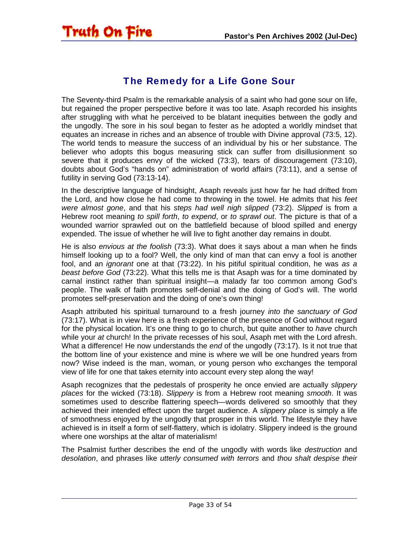<span id="page-32-0"></span>

### The Remedy for a Life Gone Sour

The Seventy-third Psalm is the remarkable analysis of a saint who had gone sour on life, but regained the proper perspective before it was too late. Asaph recorded his insights after struggling with what he perceived to be blatant inequities between the godly and the ungodly. The sore in his soul began to fester as he adopted a worldly mindset that equates an increase in riches and an absence of trouble with Divine approval (73:5, 12). The world tends to measure the success of an individual by his or her substance. The believer who adopts this bogus measuring stick can suffer from disillusionment so severe that it produces envy of the wicked (73:3), tears of discouragement (73:10), doubts about God's "hands on" administration of world affairs (73:11), and a sense of futility in serving God (73:13-14).

In the descriptive language of hindsight, Asaph reveals just how far he had drifted from the Lord, and how close he had come to throwing in the towel. He admits that his *feet were almost gone*, and that his *steps had well nigh slipped* (73:2). *Slipped* is from a Hebrew root meaning *to spill forth*, *to expend*, or *to sprawl out*. The picture is that of a wounded warrior sprawled out on the battlefield because of blood spilled and energy expended. The issue of whether he will live to fight another day remains in doubt.

He is also *envious at the foolish* (73:3). What does it says about a man when he finds himself looking up to a fool? Well, the only kind of man that can envy a fool is another fool, and an *ignorant* one at that (73:22). In his pitiful spiritual condition, he was *as a beast before God* (73:22). What this tells me is that Asaph was for a time dominated by carnal instinct rather than spiritual insight—a malady far too common among God's people. The walk of faith promotes self-denial and the doing of God's will. The world promotes self-preservation and the doing of one's own thing!

Asaph attributed his spiritual turnaround to a fresh journey *into the sanctuary of God* (73:17). What is in view here is a fresh experience of the presence of God without regard for the physical location. It's one thing to go to church, but quite another to *have* church while your *at* church! In the private recesses of his soul, Asaph met with the Lord afresh. What a difference! He now understands the *end* of the ungodly (73:17). Is it not true that the bottom line of your existence and mine is where we will be one hundred years from now? Wise indeed is the man, woman, or young person who exchanges the temporal view of life for one that takes eternity into account every step along the way!

Asaph recognizes that the pedestals of prosperity he once envied are actually *slippery places* for the wicked (73:18). *Slippery* is from a Hebrew root meaning *smooth*. It was sometimes used to describe flattering speech—words delivered so smoothly that they achieved their intended effect upon the target audience. A *slippery place* is simply a life of smoothness enjoyed by the ungodly that prosper in this world. The lifestyle they have achieved is in itself a form of self-flattery, which is idolatry. Slippery indeed is the ground where one worships at the altar of materialism!

The Psalmist further describes the end of the ungodly with words like *destruction* and *desolation*, and phrases like *utterly consumed with terrors* and *thou shalt despise their*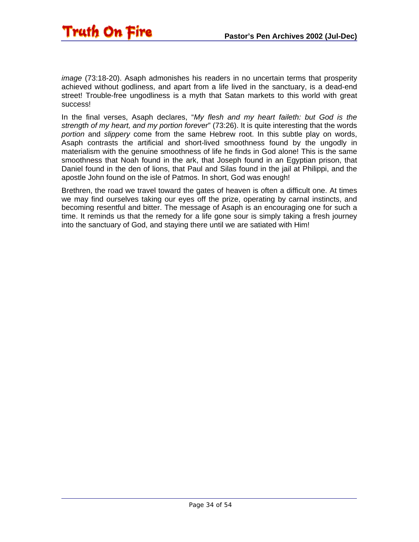

*image* (73:18-20). Asaph admonishes his readers in no uncertain terms that prosperity achieved without godliness, and apart from a life lived in the sanctuary, is a dead-end street! Trouble-free ungodliness is a myth that Satan markets to this world with great success!

In the final verses, Asaph declares, "*My flesh and my heart faileth: but God is the strength of my heart, and my portion forever*" (73:26). It is quite interesting that the words *portion* and *slippery* come from the same Hebrew root. In this subtle play on words, Asaph contrasts the artificial and short-lived smoothness found by the ungodly in materialism with the genuine smoothness of life he finds in God alone! This is the same smoothness that Noah found in the ark, that Joseph found in an Egyptian prison, that Daniel found in the den of lions, that Paul and Silas found in the jail at Philippi, and the apostle John found on the isle of Patmos. In short, God was enough!

Brethren, the road we travel toward the gates of heaven is often a difficult one. At times we may find ourselves taking our eyes off the prize, operating by carnal instincts, and becoming resentful and bitter. The message of Asaph is an encouraging one for such a time. It reminds us that the remedy for a life gone sour is simply taking a fresh journey into the sanctuary of God, and staying there until we are satiated with Him!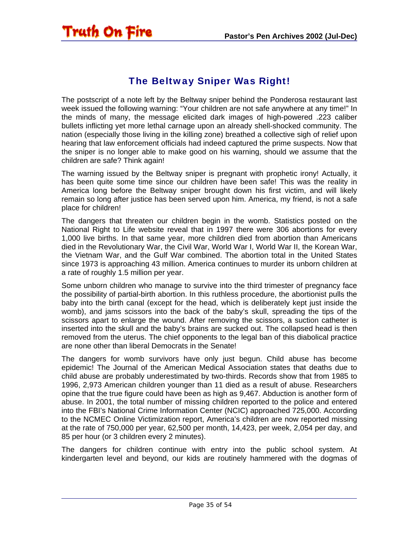### The Beltway Sniper Was Right!

<span id="page-34-0"></span>**Truth On Fire** 

The postscript of a note left by the Beltway sniper behind the Ponderosa restaurant last week issued the following warning: "Your children are not safe anywhere at any time!" In the minds of many, the message elicited dark images of high-powered .223 caliber bullets inflicting yet more lethal carnage upon an already shell-shocked community. The nation (especially those living in the killing zone) breathed a collective sigh of relief upon hearing that law enforcement officials had indeed captured the prime suspects. Now that the sniper is no longer able to make good on his warning, should we assume that the children are safe? Think again!

The warning issued by the Beltway sniper is pregnant with prophetic irony! Actually, it has been quite some time since our children have been safe! This was the reality in America long before the Beltway sniper brought down his first victim, and will likely remain so long after justice has been served upon him. America, my friend, is not a safe place for children!

The dangers that threaten our children begin in the womb. Statistics posted on the National Right to Life website reveal that in 1997 there were 306 abortions for every 1,000 live births. In that same year, more children died from abortion than Americans died in the Revolutionary War, the Civil War, World War I, World War II, the Korean War, the Vietnam War, and the Gulf War combined. The abortion total in the United States since 1973 is approaching 43 million. America continues to murder its unborn children at a rate of roughly 1.5 million per year.

Some unborn children who manage to survive into the third trimester of pregnancy face the possibility of partial-birth abortion. In this ruthless procedure, the abortionist pulls the baby into the birth canal (except for the head, which is deliberately kept just inside the womb), and jams scissors into the back of the baby's skull, spreading the tips of the scissors apart to enlarge the wound. After removing the scissors, a suction catheter is inserted into the skull and the baby's brains are sucked out. The collapsed head is then removed from the uterus. The chief opponents to the legal ban of this diabolical practice are none other than liberal Democrats in the Senate!

The dangers for womb survivors have only just begun. Child abuse has become epidemic! The Journal of the American Medical Association states that deaths due to child abuse are probably underestimated by two-thirds. Records show that from 1985 to 1996, 2,973 American children younger than 11 died as a result of abuse. Researchers opine that the true figure could have been as high as 9,467. Abduction is another form of abuse. In 2001, the total number of missing children reported to the police and entered into the FBI's National Crime Information Center (NCIC) approached 725,000. According to the NCMEC Online Victimization report, America's children are now reported missing at the rate of 750,000 per year, 62,500 per month, 14,423, per week, 2,054 per day, and 85 per hour (or 3 children every 2 minutes).

The dangers for children continue with entry into the public school system. At kindergarten level and beyond, our kids are routinely hammered with the dogmas of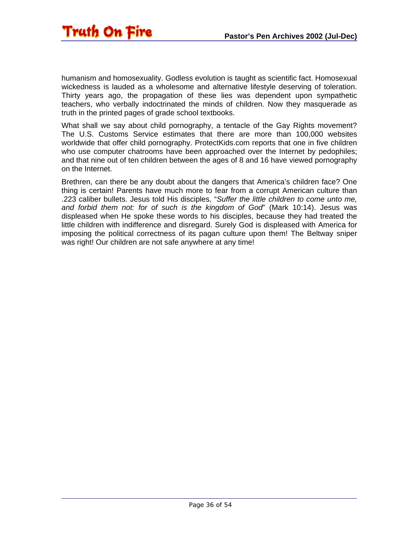

humanism and homosexuality. Godless evolution is taught as scientific fact. Homosexual wickedness is lauded as a wholesome and alternative lifestyle deserving of toleration. Thirty years ago, the propagation of these lies was dependent upon sympathetic teachers, who verbally indoctrinated the minds of children. Now they masquerade as truth in the printed pages of grade school textbooks.

What shall we say about child pornography, a tentacle of the Gay Rights movement? The U.S. Customs Service estimates that there are more than 100,000 websites worldwide that offer child pornography. ProtectKids.com reports that one in five children who use computer chatrooms have been approached over the Internet by pedophiles; and that nine out of ten children between the ages of 8 and 16 have viewed pornography on the Internet.

Brethren, can there be any doubt about the dangers that America's children face? One thing is certain! Parents have much more to fear from a corrupt American culture than .223 caliber bullets. Jesus told His disciples, "*Suffer the little children to come unto me, and forbid them not: for of such is the kingdom of God*" (Mark 10:14). Jesus was displeased when He spoke these words to his disciples, because they had treated the little children with indifference and disregard. Surely God is displeased with America for imposing the political correctness of its pagan culture upon them! The Beltway sniper was right! Our children are not safe anywhere at any time!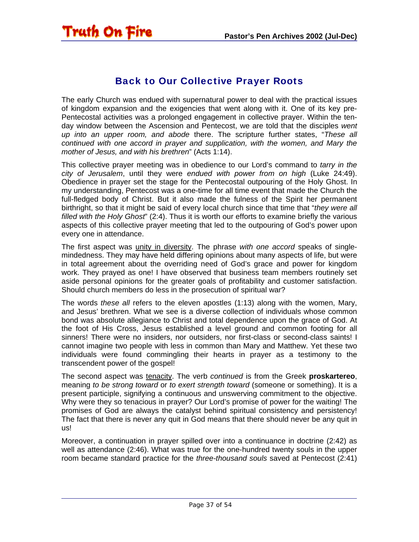<span id="page-36-0"></span>

### Back to Our Collective Prayer Roots

The early Church was endued with supernatural power to deal with the practical issues of kingdom expansion and the exigencies that went along with it. One of its key pre-Pentecostal activities was a prolonged engagement in collective prayer. Within the tenday window between the Ascension and Pentecost, we are told that the disciples *went up into an upper room, and abode* there. The scripture further states, "*These all continued with one accord in prayer and supplication, with the women, and Mary the mother of Jesus, and with his brethren*" (Acts 1:14).

This collective prayer meeting was in obedience to our Lord's command to *tarry in the city of Jerusalem*, until they were *endued with power from on high* (Luke 24:49). Obedience in prayer set the stage for the Pentecostal outpouring of the Holy Ghost. In my understanding, Pentecost was a one-time for all time event that made the Church the full-fledged body of Christ. But it also made the fulness of the Spirit her permanent birthright, so that it might be said of every local church since that time that "*they were all filled with the Holy Ghost*" (2:4). Thus it is worth our efforts to examine briefly the various aspects of this collective prayer meeting that led to the outpouring of God's power upon every one in attendance.

The first aspect was unity in diversity. The phrase *with one accord* speaks of singlemindedness. They may have held differing opinions about many aspects of life, but were in total agreement about the overriding need of God's grace and power for kingdom work. They prayed as one! I have observed that business team members routinely set aside personal opinions for the greater goals of profitability and customer satisfaction. Should church members do less in the prosecution of spiritual war?

The words *these all* refers to the eleven apostles (1:13) along with the women, Mary, and Jesus' brethren. What we see is a diverse collection of individuals whose common bond was absolute allegiance to Christ and total dependence upon the grace of God. At the foot of His Cross, Jesus established a level ground and common footing for all sinners! There were no insiders, nor outsiders, nor first-class or second-class saints! I cannot imagine two people with less in common than Mary and Matthew. Yet these two individuals were found commingling their hearts in prayer as a testimony to the transcendent power of the gospel!

The second aspect was tenacity. The verb *continued* is from the Greek **proskartereo**, meaning *to be strong toward* or *to exert strength toward* (someone or something). It is a present participle, signifying a continuous and unswerving commitment to the objective. Why were they so tenacious in prayer? Our Lord's promise of power for the waiting! The promises of God are always the catalyst behind spiritual consistency and persistency! The fact that there is never any quit in God means that there should never be any quit in us!

Moreover, a continuation in prayer spilled over into a continuance in doctrine (2:42) as well as attendance (2:46). What was true for the one-hundred twenty souls in the upper room became standard practice for the *three-thousand souls* saved at Pentecost (2:41)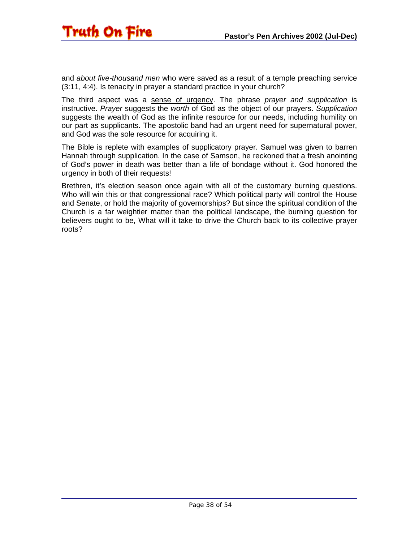and *about five-thousand men* who were saved as a result of a temple preaching service (3:11, 4:4). Is tenacity in prayer a standard practice in your church?

The third aspect was a sense of urgency. The phrase *prayer and supplication* is instructive. *Prayer* suggests the *worth* of God as the object of our prayers. *Supplication* suggests the wealth of God as the infinite resource for our needs, including humility on our part as supplicants. The apostolic band had an urgent need for supernatural power, and God was the sole resource for acquiring it.

The Bible is replete with examples of supplicatory prayer. Samuel was given to barren Hannah through supplication. In the case of Samson, he reckoned that a fresh anointing of God's power in death was better than a life of bondage without it. God honored the urgency in both of their requests!

Brethren, it's election season once again with all of the customary burning questions. Who will win this or that congressional race? Which political party will control the House and Senate, or hold the majority of governorships? But since the spiritual condition of the Church is a far weightier matter than the political landscape, the burning question for believers ought to be, What will it take to drive the Church back to its collective prayer roots?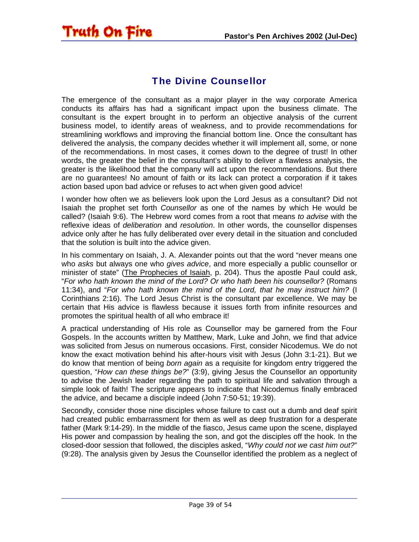### The Divine Counsellor

<span id="page-38-0"></span>**Truth On Fire** 

The emergence of the consultant as a major player in the way corporate America conducts its affairs has had a significant impact upon the business climate. The consultant is the expert brought in to perform an objective analysis of the current business model, to identify areas of weakness, and to provide recommendations for streamlining workflows and improving the financial bottom line. Once the consultant has delivered the analysis, the company decides whether it will implement all, some, or none of the recommendations. In most cases, it comes down to the degree of trust! In other words, the greater the belief in the consultant's ability to deliver a flawless analysis, the greater is the likelihood that the company will act upon the recommendations. But there are no guarantees! No amount of faith or its lack can protect a corporation if it takes action based upon bad advice or refuses to act when given good advice!

I wonder how often we as believers look upon the Lord Jesus as a consultant? Did not Isaiah the prophet set forth *Counsellor* as one of the names by which He would be called? (Isaiah 9:6). The Hebrew word comes from a root that means *to advise* with the reflexive ideas of *deliberation* and *resolution*. In other words, the counsellor dispenses advice only after he has fully deliberated over every detail in the situation and concluded that the solution is built into the advice given.

In his commentary on Isaiah, J. A. Alexander points out that the word "never means one who *asks* but always one who *gives advice*, and more especially a public counsellor or minister of state" (The Prophecies of Isaiah, p. 204). Thus the apostle Paul could ask, "*For who hath known the mind of the Lord? Or who hath been his counsellor?* (Romans 11:34), and "*For who hath known the mind of the Lord, that he may instruct him?* (I Corinthians 2:16). The Lord Jesus Christ is the consultant par excellence. We may be certain that His advice is flawless because it issues forth from infinite resources and promotes the spiritual health of all who embrace it!

A practical understanding of His role as Counsellor may be garnered from the Four Gospels. In the accounts written by Matthew, Mark, Luke and John, we find that advice was solicited from Jesus on numerous occasions. First, consider Nicodemus. We do not know the exact motivation behind his after-hours visit with Jesus (John 3:1-21). But we do know that mention of being *born again* as a requisite for kingdom entry triggered the question, "*How can these things be?*" (3:9), giving Jesus the Counsellor an opportunity to advise the Jewish leader regarding the path to spiritual life and salvation through a simple look of faith! The scripture appears to indicate that Nicodemus finally embraced the advice, and became a disciple indeed (John 7:50-51; 19:39).

Secondly, consider those nine disciples whose failure to cast out a dumb and deaf spirit had created public embarrassment for them as well as deep frustration for a desperate father (Mark 9:14-29). In the middle of the fiasco, Jesus came upon the scene, displayed His power and compassion by healing the son, and got the disciples off the hook. In the closed-door session that followed, the disciples asked, "*Why could not we cast him out?*" (9:28). The analysis given by Jesus the Counsellor identified the problem as a neglect of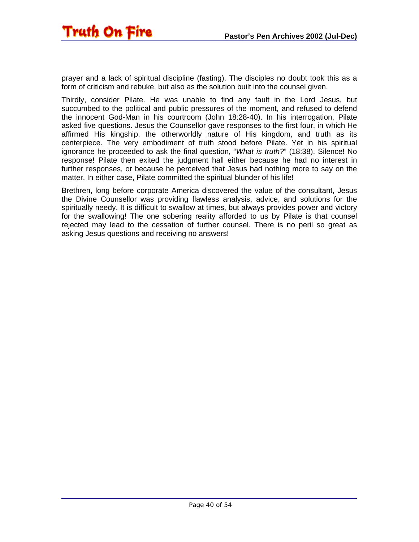prayer and a lack of spiritual discipline (fasting). The disciples no doubt took this as a form of criticism and rebuke, but also as the solution built into the counsel given.

Thirdly, consider Pilate. He was unable to find any fault in the Lord Jesus, but succumbed to the political and public pressures of the moment, and refused to defend the innocent God-Man in his courtroom (John 18:28-40). In his interrogation, Pilate asked five questions. Jesus the Counsellor gave responses to the first four, in which He affirmed His kingship, the otherworldly nature of His kingdom, and truth as its centerpiece. The very embodiment of truth stood before Pilate. Yet in his spiritual ignorance he proceeded to ask the final question, "*What is truth?*" (18:38). Silence! No response! Pilate then exited the judgment hall either because he had no interest in further responses, or because he perceived that Jesus had nothing more to say on the matter. In either case, Pilate committed the spiritual blunder of his life!

Brethren, long before corporate America discovered the value of the consultant, Jesus the Divine Counsellor was providing flawless analysis, advice, and solutions for the spiritually needy. It is difficult to swallow at times, but always provides power and victory for the swallowing! The one sobering reality afforded to us by Pilate is that counsel rejected may lead to the cessation of further counsel. There is no peril so great as asking Jesus questions and receiving no answers!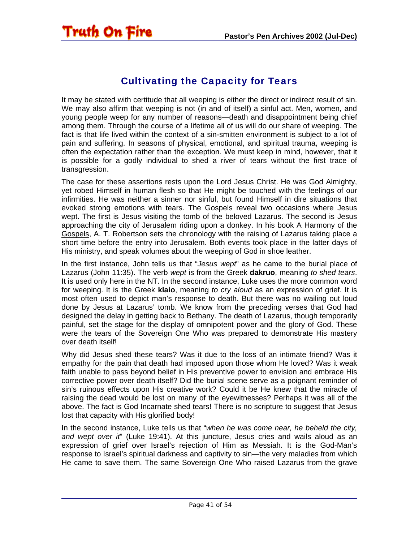### Cultivating the Capacity for Tears

<span id="page-40-0"></span>It may be stated with certitude that all weeping is either the direct or indirect result of sin. We may also affirm that weeping is not (in and of itself) a sinful act. Men, women, and young people weep for any number of reasons—death and disappointment being chief among them. Through the course of a lifetime all of us will do our share of weeping. The fact is that life lived within the context of a sin-smitten environment is subject to a lot of pain and suffering. In seasons of physical, emotional, and spiritual trauma, weeping is often the expectation rather than the exception. We must keep in mind, however, that it is possible for a godly individual to shed a river of tears without the first trace of transgression.

The case for these assertions rests upon the Lord Jesus Christ. He was God Almighty, yet robed Himself in human flesh so that He might be touched with the feelings of our infirmities. He was neither a sinner nor sinful, but found Himself in dire situations that evoked strong emotions with tears. The Gospels reveal two occasions where Jesus wept. The first is Jesus visiting the tomb of the beloved Lazarus. The second is Jesus approaching the city of Jerusalem riding upon a donkey. In his book A Harmony of the Gospels, A. T. Robertson sets the chronology with the raising of Lazarus taking place a short time before the entry into Jerusalem. Both events took place in the latter days of His ministry, and speak volumes about the weeping of God in shoe leather.

In the first instance, John tells us that "*Jesus wept*" as he came to the burial place of Lazarus (John 11:35). The verb *wept* is from the Greek **dakruo**, meaning *to shed tears*. It is used only here in the NT. In the second instance, Luke uses the more common word for weeping. It is the Greek **klaio**, meaning *to cry aloud* as an expression of grief. It is most often used to depict man's response to death. But there was no wailing out loud done by Jesus at Lazarus' tomb. We know from the preceding verses that God had designed the delay in getting back to Bethany. The death of Lazarus, though temporarily painful, set the stage for the display of omnipotent power and the glory of God. These were the tears of the Sovereign One Who was prepared to demonstrate His mastery over death itself!

Why did Jesus shed these tears? Was it due to the loss of an intimate friend? Was it empathy for the pain that death had imposed upon those whom He loved? Was it weak faith unable to pass beyond belief in His preventive power to envision and embrace His corrective power over death itself? Did the burial scene serve as a poignant reminder of sin's ruinous effects upon His creative work? Could it be He knew that the miracle of raising the dead would be lost on many of the eyewitnesses? Perhaps it was all of the above. The fact is God Incarnate shed tears! There is no scripture to suggest that Jesus lost that capacity with His glorified body!

In the second instance, Luke tells us that "*when he was come near, he beheld the city, and wept over it*" (Luke 19:41). At this juncture, Jesus cries and wails aloud as an expression of grief over Israel's rejection of Him as Messiah. It is the God-Man's response to Israel's spiritual darkness and captivity to sin—the very maladies from which He came to save them. The same Sovereign One Who raised Lazarus from the grave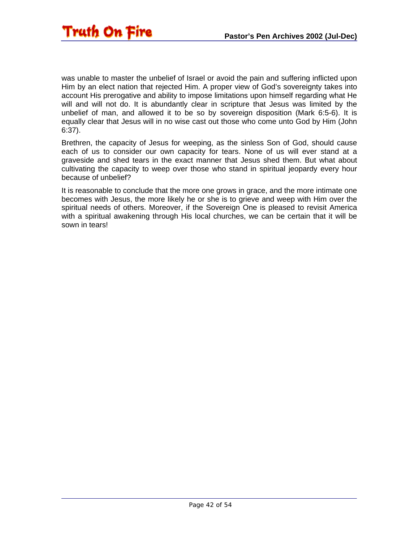was unable to master the unbelief of Israel or avoid the pain and suffering inflicted upon Him by an elect nation that rejected Him. A proper view of God's sovereignty takes into account His prerogative and ability to impose limitations upon himself regarding what He will and will not do. It is abundantly clear in scripture that Jesus was limited by the unbelief of man, and allowed it to be so by sovereign disposition (Mark 6:5-6). It is equally clear that Jesus will in no wise cast out those who come unto God by Him (John 6:37).

Brethren, the capacity of Jesus for weeping, as the sinless Son of God, should cause each of us to consider our own capacity for tears. None of us will ever stand at a graveside and shed tears in the exact manner that Jesus shed them. But what about cultivating the capacity to weep over those who stand in spiritual jeopardy every hour because of unbelief?

It is reasonable to conclude that the more one grows in grace, and the more intimate one becomes with Jesus, the more likely he or she is to grieve and weep with Him over the spiritual needs of others. Moreover, if the Sovereign One is pleased to revisit America with a spiritual awakening through His local churches, we can be certain that it will be sown in tears!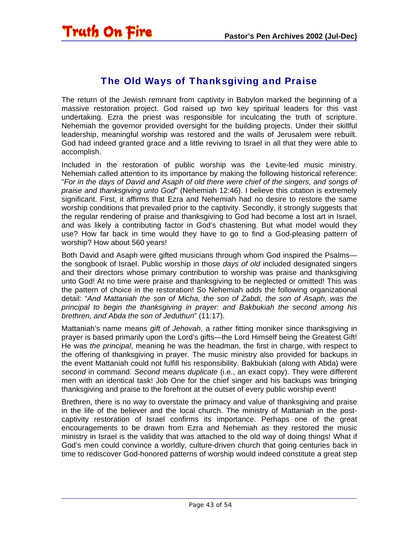<span id="page-42-0"></span>

### The Old Ways of Thanksgiving and Praise

The return of the Jewish remnant from captivity in Babylon marked the beginning of a massive restoration project. God raised up two key spiritual leaders for this vast undertaking. Ezra the priest was responsible for inculcating the truth of scripture. Nehemiah the governor provided oversight for the building projects. Under their skillful leadership, meaningful worship was restored and the walls of Jerusalem were rebuilt. God had indeed granted grace and a little reviving to Israel in all that they were able to accomplish.

Included in the restoration of public worship was the Levite-led music ministry. Nehemiah called attention to its importance by making the following historical reference: "*For in the days of David and Asaph of old there were chief of the singers, and songs of praise and thanksgiving unto God*" (Nehemiah 12:46). I believe this citation is extremely significant. First, it affirms that Ezra and Nehemiah had no desire to restore the same worship conditions that prevailed prior to the captivity. Secondly, it strongly suggests that the regular rendering of praise and thanksgiving to God had become a lost art in Israel, and was likely a contributing factor in God's chastening. But what model would they use? How far back in time would they have to go to find a God-pleasing pattern of worship? How about 560 years!

Both David and Asaph were gifted musicians through whom God inspired the Psalms the songbook of Israel. Public worship in those *days of old* included designated singers and their directors whose primary contribution to worship was praise and thanksgiving unto God! At no time were praise and thanksgiving to be neglected or omitted! This was the pattern of choice in the restoration! So Nehemiah adds the following organizational detail: "*And Mattaniah the son of Micha, the son of Zabdi, the son of Asaph, was the principal to begin the thanksgiving in prayer: and Bakbukiah the second among his brethren, and Abda the son of Jeduthun*" (11:17).

Mattaniah's name means *gift of Jehovah*, a rather fitting moniker since thanksgiving in prayer is based primarily upon the Lord's gifts—the Lord Himself being the Greatest Gift! He was *the principal*, meaning he was the headman, the first in charge, with respect to the offering of thanksgiving in prayer. The music ministry also provided for backups in the event Mattaniah could not fulfill his responsibility. Bakbukiah (along with Abda) were *second* in command. *Second* means *duplicate* (i.e., an exact copy). They were different men with an identical task! Job One for the chief singer and his backups was bringing thanksgiving and praise to the forefront at the outset of every public worship event!

Brethren, there is no way to overstate the primacy and value of thanksgiving and praise in the life of the believer and the local church. The ministry of Mattaniah in the postcaptivity restoration of Israel confirms its importance. Perhaps one of the great encouragements to be drawn from Ezra and Nehemiah as they restored the music ministry in Israel is the validity that was attached to the old way of doing things! What if God's men could convince a worldly, culture-driven church that going centuries back in time to rediscover God-honored patterns of worship would indeed constitute a great step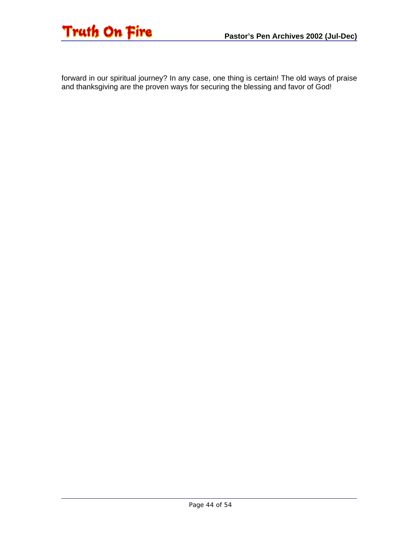

forward in our spiritual journey? In any case, one thing is certain! The old ways of praise and thanksgiving are the proven ways for securing the blessing and favor of God!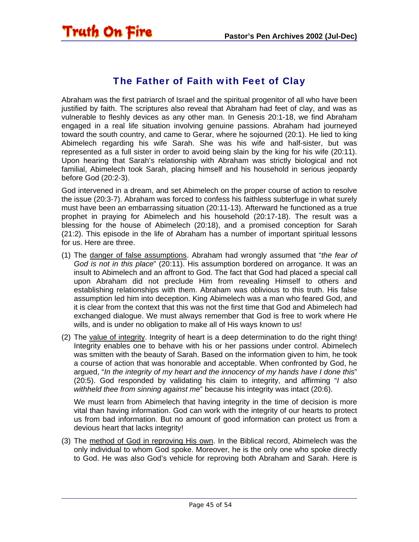<span id="page-44-0"></span>

### The Father of Faith with Feet of Clay

Abraham was the first patriarch of Israel and the spiritual progenitor of all who have been justified by faith. The scriptures also reveal that Abraham had feet of clay, and was as vulnerable to fleshly devices as any other man. In Genesis 20:1-18, we find Abraham engaged in a real life situation involving genuine passions. Abraham had journeyed toward the south country, and came to Gerar, where he sojourned (20:1). He lied to king Abimelech regarding his wife Sarah. She was his wife and half-sister, but was represented as a full sister in order to avoid being slain by the king for his wife (20:11). Upon hearing that Sarah's relationship with Abraham was strictly biological and not familial, Abimelech took Sarah, placing himself and his household in serious jeopardy before God (20:2-3).

God intervened in a dream, and set Abimelech on the proper course of action to resolve the issue (20:3-7). Abraham was forced to confess his faithless subterfuge in what surely must have been an embarrassing situation (20:11-13). Afterward he functioned as a true prophet in praying for Abimelech and his household (20:17-18). The result was a blessing for the house of Abimelech (20:18), and a promised conception for Sarah (21:2). This episode in the life of Abraham has a number of important spiritual lessons for us. Here are three.

- (1) The danger of false assumptions. Abraham had wrongly assumed that "*the fear of God is not in this place*" (20:11). His assumption bordered on arrogance. It was an insult to Abimelech and an affront to God. The fact that God had placed a special call upon Abraham did not preclude Him from revealing Himself to others and establishing relationships with them. Abraham was oblivious to this truth. His false assumption led him into deception. King Abimelech was a man who feared God, and it is clear from the context that this was not the first time that God and Abimelech had exchanged dialogue. We must always remember that God is free to work where He wills, and is under no obligation to make all of His ways known to us!
- (2) The value of integrity. Integrity of heart is a deep determination to do the right thing! Integrity enables one to behave with his or her passions under control. Abimelech was smitten with the beauty of Sarah. Based on the information given to him, he took a course of action that was honorable and acceptable. When confronted by God, he argued, "*In the integrity of my heart and the innocency of my hands have I done this*" (20:5). God responded by validating his claim to integrity, and affirming "*I also withheld thee from sinning against me*" because his integrity was intact (20:6).

We must learn from Abimelech that having integrity in the time of decision is more vital than having information. God can work with the integrity of our hearts to protect us from bad information. But no amount of good information can protect us from a devious heart that lacks integrity!

(3) The method of God in reproving His own. In the Biblical record, Abimelech was the only individual to whom God spoke. Moreover, he is the only one who spoke directly to God. He was also God's vehicle for reproving both Abraham and Sarah. Here is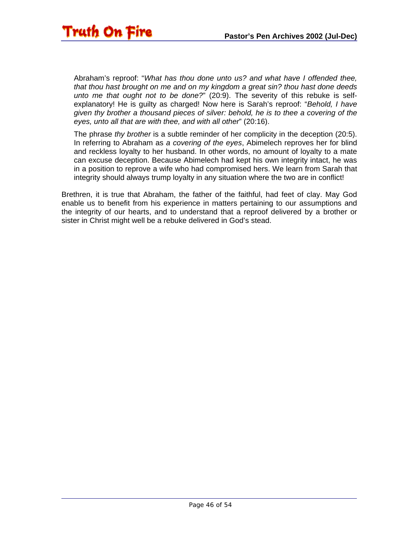Abraham's reproof: "*What has thou done unto us? and what have I offended thee, that thou hast brought on me and on my kingdom a great sin? thou hast done deeds unto me that ought not to be done?*" (20:9). The severity of this rebuke is selfexplanatory! He is guilty as charged! Now here is Sarah's reproof: "*Behold, I have given thy brother a thousand pieces of silver: behold, he is to thee a covering of the eyes, unto all that are with thee, and with all other*" (20:16).

The phrase *thy brother* is a subtle reminder of her complicity in the deception (20:5). In referring to Abraham as *a covering of the eyes*, Abimelech reproves her for blind and reckless loyalty to her husband. In other words, no amount of loyalty to a mate can excuse deception. Because Abimelech had kept his own integrity intact, he was in a position to reprove a wife who had compromised hers. We learn from Sarah that integrity should always trump loyalty in any situation where the two are in conflict!

Brethren, it is true that Abraham, the father of the faithful, had feet of clay. May God enable us to benefit from his experience in matters pertaining to our assumptions and the integrity of our hearts, and to understand that a reproof delivered by a brother or sister in Christ might well be a rebuke delivered in God's stead.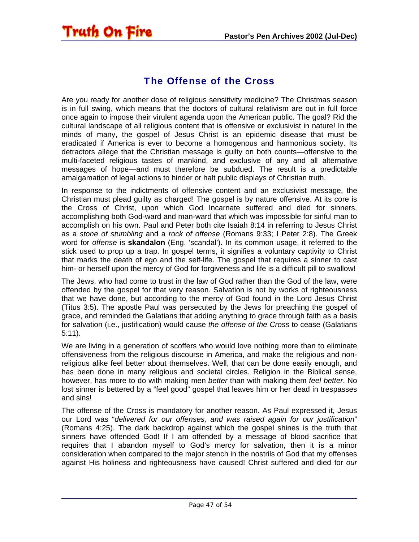### The Offense of the Cross

<span id="page-46-0"></span>**Truth On Fire** 

Are you ready for another dose of religious sensitivity medicine? The Christmas season is in full swing, which means that the doctors of cultural relativism are out in full force once again to impose their virulent agenda upon the American public. The goal? Rid the cultural landscape of all religious content that is offensive or exclusivist in nature! In the minds of many, the gospel of Jesus Christ is an epidemic disease that must be eradicated if America is ever to become a homogenous and harmonious society. Its detractors allege that the Christian message is guilty on both counts—offensive to the multi-faceted religious tastes of mankind, and exclusive of any and all alternative messages of hope—and must therefore be subdued. The result is a predictable amalgamation of legal actions to hinder or halt public displays of Christian truth.

In response to the indictments of offensive content and an exclusivist message, the Christian must plead guilty as charged! The gospel is by nature offensive. At its core is the Cross of Christ, upon which God Incarnate suffered and died for sinners, accomplishing both God-ward and man-ward that which was impossible for sinful man to accomplish on his own. Paul and Peter both cite Isaiah 8:14 in referring to Jesus Christ as a *stone of stumbling* and a *rock of offense* (Romans 9:33; I Peter 2:8). The Greek word for *offense* is **skandalon** (Eng. 'scandal'). In its common usage, it referred to the stick used to prop up a trap. In gospel terms, it signifies a voluntary captivity to Christ that marks the death of ego and the self-life. The gospel that requires a sinner to cast him- or herself upon the mercy of God for forgiveness and life is a difficult pill to swallow!

The Jews, who had come to trust in the law of God rather than the God of the law, were offended by the gospel for that very reason. Salvation is not by works of righteousness that we have done, but according to the mercy of God found in the Lord Jesus Christ (Titus 3:5). The apostle Paul was persecuted by the Jews for preaching the gospel of grace, and reminded the Galatians that adding anything to grace through faith as a basis for salvation (i.e., justification) would cause *the offense of the Cross* to cease (Galatians 5:11).

We are living in a generation of scoffers who would love nothing more than to eliminate offensiveness from the religious discourse in America, and make the religious and nonreligious alike feel better about themselves. Well, that can be done easily enough, and has been done in many religious and societal circles. Religion in the Biblical sense, however, has more to do with making men *better* than with making them *feel better*. No lost sinner is bettered by a "feel good" gospel that leaves him or her dead in trespasses and sins!

The offense of the Cross is mandatory for another reason. As Paul expressed it, Jesus our Lord was "*delivered for our offenses, and was raised again for our justification*" (Romans 4:25). The dark backdrop against which the gospel shines is the truth that sinners have offended God! If I am offended by a message of blood sacrifice that requires that I abandon myself to God's mercy for salvation, then it is a minor consideration when compared to the major stench in the nostrils of God that my offenses against His holiness and righteousness have caused! Christ suffered and died for *our*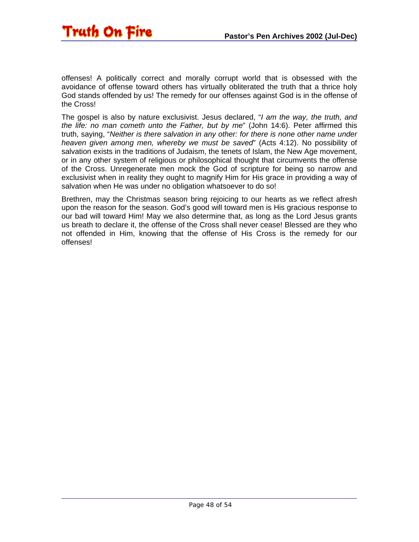

offenses! A politically correct and morally corrupt world that is obsessed with the avoidance of offense toward others has virtually obliterated the truth that a thrice holy God stands offended by us! The remedy for our offenses against God is in the offense of the Cross!

The gospel is also by nature exclusivist. Jesus declared, "*I am the way, the truth, and the life: no man cometh unto the Father, but by me*" (John 14:6). Peter affirmed this truth, saying, "*Neither is there salvation in any other: for there is none other name under heaven given among men, whereby we must be saved*" (Acts 4:12). No possibility of salvation exists in the traditions of Judaism, the tenets of Islam, the New Age movement, or in any other system of religious or philosophical thought that circumvents the offense of the Cross. Unregenerate men mock the God of scripture for being so narrow and exclusivist when in reality they ought to magnify Him for His grace in providing a way of salvation when He was under no obligation whatsoever to do so!

Brethren, may the Christmas season bring rejoicing to our hearts as we reflect afresh upon the reason for the season. God's good will toward men is His gracious response to our bad will toward Him! May we also determine that, as long as the Lord Jesus grants us breath to declare it, the offense of the Cross shall never cease! Blessed are they who not offended in Him, knowing that the offense of His Cross is the remedy for our offenses!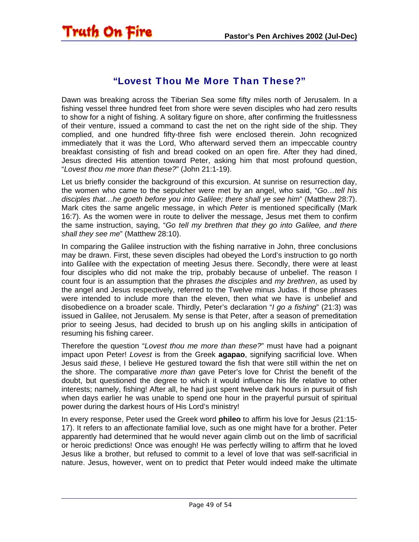<span id="page-48-0"></span>

#### "Lovest Thou Me More Than These?"

Dawn was breaking across the Tiberian Sea some fifty miles north of Jerusalem. In a fishing vessel three hundred feet from shore were seven disciples who had zero results to show for a night of fishing. A solitary figure on shore, after confirming the fruitlessness of their venture, issued a command to cast the net on the right side of the ship. They complied, and one hundred fifty-three fish were enclosed therein. John recognized immediately that it was the Lord, Who afterward served them an impeccable country breakfast consisting of fish and bread cooked on an open fire. After they had dined, Jesus directed His attention toward Peter, asking him that most profound question, "*Lovest thou me more than these?*" (John 21:1-19).

Let us briefly consider the background of this excursion. At sunrise on resurrection day, the women who came to the sepulcher were met by an angel, who said, "*Go…tell his disciples that…he goeth before you into Galilee; there shall ye see him*" (Matthew 28:7). Mark cites the same angelic message, in which *Peter* is mentioned specifically (Mark 16:7). As the women were in route to deliver the message, Jesus met them to confirm the same instruction, saying, "*Go tell my brethren that they go into Galilee, and there shall they see me*" (Matthew 28:10).

In comparing the Galilee instruction with the fishing narrative in John, three conclusions may be drawn. First, these seven disciples had obeyed the Lord's instruction to go north into Galilee with the expectation of meeting Jesus there. Secondly, there were at least four disciples who did not make the trip, probably because of unbelief. The reason I count four is an assumption that the phrases *the disciples* and *my brethren*, as used by the angel and Jesus respectively, referred to the Twelve minus Judas. If those phrases were intended to include more than the eleven, then what we have is unbelief and disobedience on a broader scale. Thirdly, Peter's declaration "*I go a fishing*" (21:3) was issued in Galilee, not Jerusalem. My sense is that Peter, after a season of premeditation prior to seeing Jesus, had decided to brush up on his angling skills in anticipation of resuming his fishing career.

Therefore the question "*Lovest thou me more than these?*" must have had a poignant impact upon Peter! *Lovest* is from the Greek **agapao**, signifying sacrificial love. When Jesus said *these*, I believe He gestured toward the fish that were still within the net on the shore. The comparative *more than* gave Peter's love for Christ the benefit of the doubt, but questioned the degree to which it would influence his life relative to other interests; namely, fishing! After all, he had just spent twelve dark hours in pursuit of fish when days earlier he was unable to spend one hour in the prayerful pursuit of spiritual power during the darkest hours of His Lord's ministry!

In every response, Peter used the Greek word **phileo** to affirm his love for Jesus (21:15- 17). It refers to an affectionate familial love, such as one might have for a brother. Peter apparently had determined that he would never again climb out on the limb of sacrificial or heroic predictions! Once was enough! He was perfectly willing to affirm that he loved Jesus like a brother, but refused to commit to a level of love that was self-sacrificial in nature. Jesus, however, went on to predict that Peter would indeed make the ultimate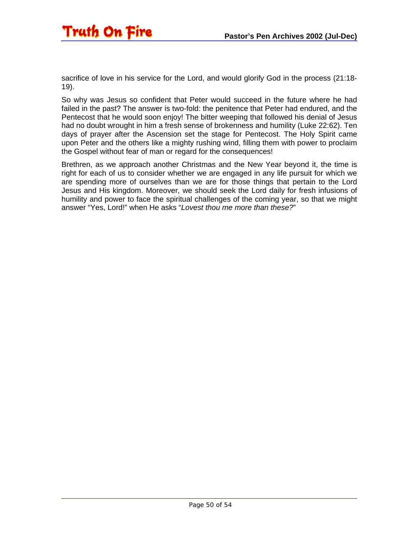

sacrifice of love in his service for the Lord, and would glorify God in the process (21:18- 19).

So why was Jesus so confident that Peter would succeed in the future where he had failed in the past? The answer is two-fold: the penitence that Peter had endured, and the Pentecost that he would soon enjoy! The bitter weeping that followed his denial of Jesus had no doubt wrought in him a fresh sense of brokenness and humility (Luke 22:62). Ten days of prayer after the Ascension set the stage for Pentecost. The Holy Spirit came upon Peter and the others like a mighty rushing wind, filling them with power to proclaim the Gospel without fear of man or regard for the consequences!

Brethren, as we approach another Christmas and the New Year beyond it, the time is right for each of us to consider whether we are engaged in any life pursuit for which we are spending more of ourselves than we are for those things that pertain to the Lord Jesus and His kingdom. Moreover, we should seek the Lord daily for fresh infusions of humility and power to face the spiritual challenges of the coming year, so that we might answer "Yes, Lord!" when He asks "*Lovest thou me more than these?*"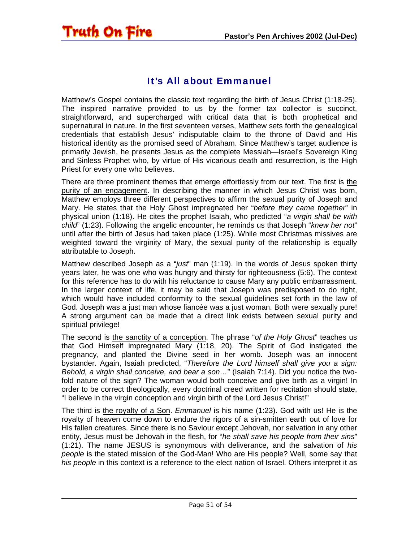### It's All about Emmanuel

<span id="page-50-0"></span>**Truth On Fire** 

Matthew's Gospel contains the classic text regarding the birth of Jesus Christ (1:18-25). The inspired narrative provided to us by the former tax collector is succinct, straightforward, and supercharged with critical data that is both prophetical and supernatural in nature. In the first seventeen verses, Matthew sets forth the genealogical credentials that establish Jesus' indisputable claim to the throne of David and His historical identity as the promised seed of Abraham. Since Matthew's target audience is primarily Jewish, he presents Jesus as the complete Messiah—Israel's Sovereign King and Sinless Prophet who, by virtue of His vicarious death and resurrection, is the High Priest for every one who believes.

There are three prominent themes that emerge effortlessly from our text. The first is the purity of an engagement. In describing the manner in which Jesus Christ was born, Matthew employs three different perspectives to affirm the sexual purity of Joseph and Mary. He states that the Holy Ghost impregnated her "*before they came together*" in physical union (1:18). He cites the prophet Isaiah, who predicted "*a virgin shall be with child*" (1:23). Following the angelic encounter, he reminds us that Joseph "*knew her not*" until after the birth of Jesus had taken place (1:25). While most Christmas missives are weighted toward the virginity of Mary, the sexual purity of the relationship is equally attributable to Joseph.

Matthew described Joseph as a "*just*" man (1:19). In the words of Jesus spoken thirty years later, he was one who was hungry and thirsty for righteousness (5:6). The context for this reference has to do with his reluctance to cause Mary any public embarrassment. In the larger context of life, it may be said that Joseph was predisposed to do right, which would have included conformity to the sexual guidelines set forth in the law of God. Joseph was a just man whose fiancée was a just woman. Both were sexually pure! A strong argument can be made that a direct link exists between sexual purity and spiritual privilege!

The second is the sanctity of a conception. The phrase "*of the Holy Ghost*" teaches us that God Himself impregnated Mary (1:18, 20). The Spirit of God instigated the pregnancy, and planted the Divine seed in her womb. Joseph was an innocent bystander. Again, Isaiah predicted, "*Therefore the Lord himself shall give you a sign: Behold, a virgin shall conceive, and bear a son…*" (Isaiah 7:14). Did you notice the twofold nature of the sign? The woman would both conceive and give birth as a virgin! In order to be correct theologically, every doctrinal creed written for recitation should state, "I believe in the virgin conception and virgin birth of the Lord Jesus Christ!"

The third is the royalty of a Son. *Emmanuel* is his name (1:23). God with us! He is the royalty of heaven come down to endure the rigors of a sin-smitten earth out of love for His fallen creatures. Since there is no Saviour except Jehovah, nor salvation in any other entity, Jesus must be Jehovah in the flesh, for "*he shall save his people from their sins*" (1:21). The name JESUS is synonymous with deliverance, and the salvation of *his people* is the stated mission of the God-Man! Who are His people? Well, some say that *his people* in this context is a reference to the elect nation of Israel. Others interpret it as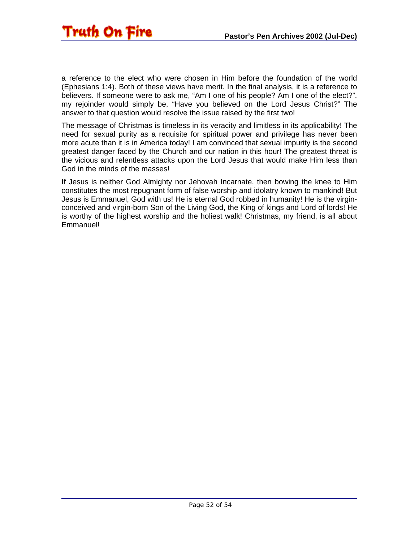

a reference to the elect who were chosen in Him before the foundation of the world (Ephesians 1:4). Both of these views have merit. In the final analysis, it is a reference to believers. If someone were to ask me, "Am I one of his people? Am I one of the elect?", my rejoinder would simply be, "Have you believed on the Lord Jesus Christ?" The answer to that question would resolve the issue raised by the first two!

The message of Christmas is timeless in its veracity and limitless in its applicability! The need for sexual purity as a requisite for spiritual power and privilege has never been more acute than it is in America today! I am convinced that sexual impurity is the second greatest danger faced by the Church and our nation in this hour! The greatest threat is the vicious and relentless attacks upon the Lord Jesus that would make Him less than God in the minds of the masses!

If Jesus is neither God Almighty nor Jehovah Incarnate, then bowing the knee to Him constitutes the most repugnant form of false worship and idolatry known to mankind! But Jesus is Emmanuel, God with us! He is eternal God robbed in humanity! He is the virginconceived and virgin-born Son of the Living God, the King of kings and Lord of lords! He is worthy of the highest worship and the holiest walk! Christmas, my friend, is all about Emmanuel!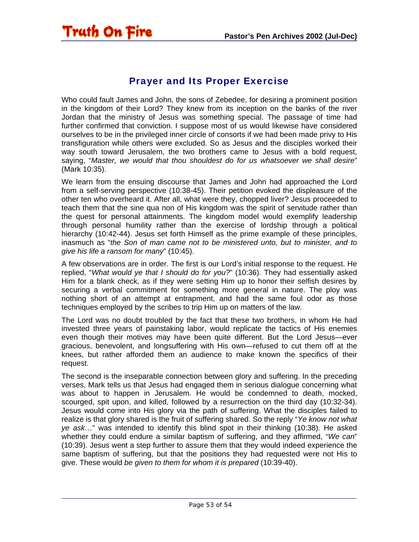<span id="page-52-0"></span>

### Prayer and Its Proper Exercise

Who could fault James and John, the sons of Zebedee, for desiring a prominent position in the kingdom of their Lord? They knew from its inception on the banks of the river Jordan that the ministry of Jesus was something special. The passage of time had further confirmed that conviction. I suppose most of us would likewise have considered ourselves to be in the privileged inner circle of consorts if we had been made privy to His transfiguration while others were excluded. So as Jesus and the disciples worked their way south toward Jerusalem, the two brothers came to Jesus with a bold request, saying, "*Master, we would that thou shouldest do for us whatsoever we shall desire*" (Mark 10:35).

We learn from the ensuing discourse that James and John had approached the Lord from a self-serving perspective (10:38-45). Their petition evoked the displeasure of the other ten who overheard it. After all, what were they, chopped liver? Jesus proceeded to teach them that the sine qua non of His kingdom was the spirit of servitude rather than the quest for personal attainments. The kingdom model would exemplify leadership through personal humility rather than the exercise of lordship through a political hierarchy (10:42-44). Jesus set forth Himself as the prime example of these principles, inasmuch as "*the Son of man came not to be ministered unto, but to minister, and to give his life a ransom for many*" (10:45).

A few observations are in order. The first is our Lord's initial response to the request. He replied, "*What would ye that I should do for you?*" (10:36). They had essentially asked Him for a blank check, as if they were setting Him up to honor their selfish desires by securing a verbal commitment for something more general in nature. The ploy was nothing short of an attempt at entrapment, and had the same foul odor as those techniques employed by the scribes to trip Him up on matters of the law.

The Lord was no doubt troubled by the fact that these two brothers, in whom He had invested three years of painstaking labor, would replicate the tactics of His enemies even though their motives may have been quite different. But the Lord Jesus—ever gracious, benevolent, and longsuffering with His own—refused to cut them off at the knees, but rather afforded them an audience to make known the specifics of their request.

The second is the inseparable connection between glory and suffering. In the preceding verses, Mark tells us that Jesus had engaged them in serious dialogue concerning what was about to happen in Jerusalem. He would be condemned to death, mocked, scourged, spit upon, and killed, followed by a resurrection on the third day (10:32-34). Jesus would come into His glory via the path of suffering. What the disciples failed to realize is that glory shared is the fruit of suffering shared. So the reply "*Ye know not what ye ask…*" was intended to identify this blind spot in their thinking (10:38). He asked whether they could endure a similar baptism of suffering, and they affirmed, "*We can*" (10:39). Jesus went a step further to assure them that they would indeed experience the same baptism of suffering, but that the positions they had requested were not His to give. These would *be given to them for whom it is prepared* (10:39-40).